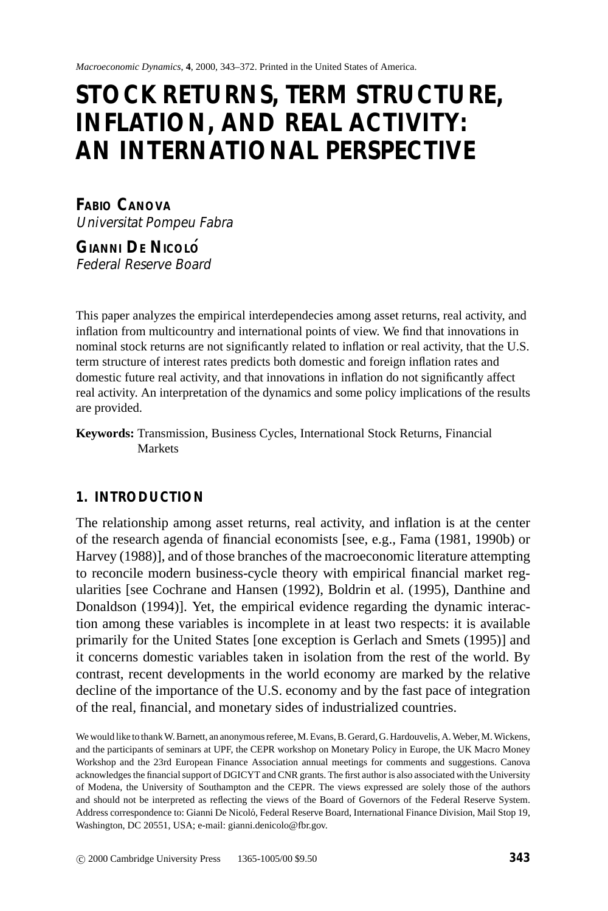# **STOCK RETURNS, TERM STRUCTURE, INFLATION, AND REAL ACTIVITY: AN INTERNATIONAL PERSPECTIVE**

**FABIO CANOVA** Universitat Pompeu Fabra

**GIANNI DE NICOLO´** Federal Reserve Board

This paper analyzes the empirical interdependecies among asset returns, real activity, and inflation from multicountry and international points of view. We find that innovations in nominal stock returns are not significantly related to inflation or real activity, that the U.S. term structure of interest rates predicts both domestic and foreign inflation rates and domestic future real activity, and that innovations in inflation do not significantly affect real activity. An interpretation of the dynamics and some policy implications of the results are provided.

**Keywords:** Transmission, Business Cycles, International Stock Returns, Financial Markets

# **1. INTRODUCTION**

The relationship among asset returns, real activity, and inflation is at the center of the research agenda of financial economists [see, e.g., Fama (1981, 1990b) or Harvey (1988)], and of those branches of the macroeconomic literature attempting to reconcile modern business-cycle theory with empirical financial market regularities [see Cochrane and Hansen (1992), Boldrin et al. (1995), Danthine and Donaldson (1994)]. Yet, the empirical evidence regarding the dynamic interaction among these variables is incomplete in at least two respects: it is available primarily for the United States [one exception is Gerlach and Smets (1995)] and it concerns domestic variables taken in isolation from the rest of the world. By contrast, recent developments in the world economy are marked by the relative decline of the importance of the U.S. economy and by the fast pace of integration of the real, financial, and monetary sides of industrialized countries.

We would like to thank W. Barnett, an anonymous referee, M. Evans, B. Gerard, G. Hardouvelis, A. Weber, M. Wickens, and the participants of seminars at UPF, the CEPR workshop on Monetary Policy in Europe, the UK Macro Money Workshop and the 23rd European Finance Association annual meetings for comments and suggestions. Canova acknowledges the financial support of DGICYT and CNR grants. The first author is also associated with the University of Modena, the University of Southampton and the CEPR. The views expressed are solely those of the authors and should not be interpreted as reflecting the views of the Board of Governors of the Federal Reserve System. Address correspondence to: Gianni De Nicoló, Federal Reserve Board, International Finance Division, Mail Stop 19, Washington, DC 20551, USA; e-mail: gianni.denicolo@fbr.gov.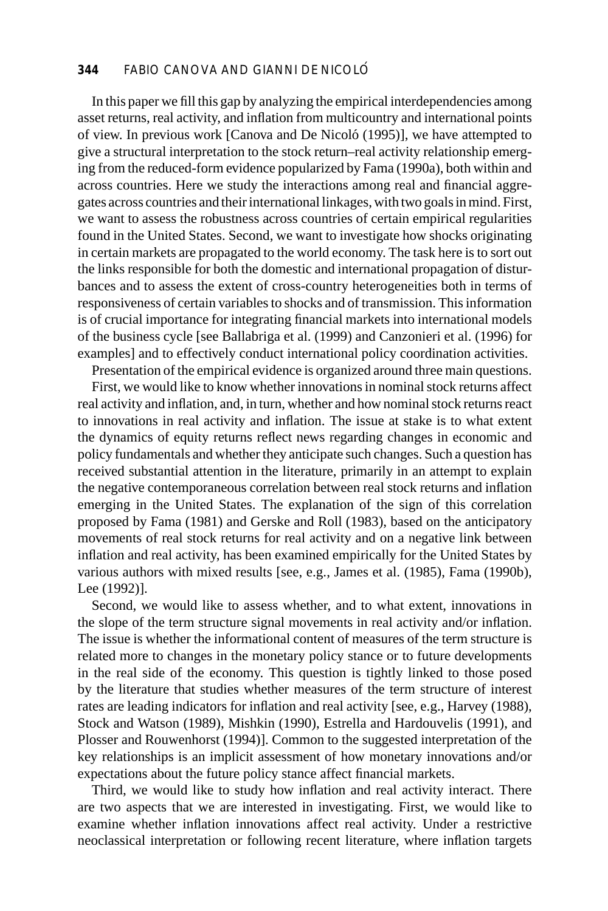In this paper we fill this gap by analyzing the empirical interdependencies among asset returns, real activity, and inflation from multicountry and international points of view. In previous work [Canova and De Nicoló (1995)], we have attempted to give a structural interpretation to the stock return–real activity relationship emerging from the reduced-form evidence popularized by Fama (1990a), both within and across countries. Here we study the interactions among real and financial aggregates across countries and their international linkages, with two goals in mind. First, we want to assess the robustness across countries of certain empirical regularities found in the United States. Second, we want to investigate how shocks originating in certain markets are propagated to the world economy. The task here is to sort out the links responsible for both the domestic and international propagation of disturbances and to assess the extent of cross-country heterogeneities both in terms of responsiveness of certain variables to shocks and of transmission. This information is of crucial importance for integrating financial markets into international models of the business cycle [see Ballabriga et al. (1999) and Canzonieri et al. (1996) for examples] and to effectively conduct international policy coordination activities.

Presentation of the empirical evidence is organized around three main questions.

First, we would like to know whether innovations in nominal stock returns affect real activity and inflation, and, in turn, whether and how nominal stock returns react to innovations in real activity and inflation. The issue at stake is to what extent the dynamics of equity returns reflect news regarding changes in economic and policy fundamentals and whether they anticipate such changes. Such a question has received substantial attention in the literature, primarily in an attempt to explain the negative contemporaneous correlation between real stock returns and inflation emerging in the United States. The explanation of the sign of this correlation proposed by Fama (1981) and Gerske and Roll (1983), based on the anticipatory movements of real stock returns for real activity and on a negative link between inflation and real activity, has been examined empirically for the United States by various authors with mixed results [see, e.g., James et al. (1985), Fama (1990b), Lee (1992)].

Second, we would like to assess whether, and to what extent, innovations in the slope of the term structure signal movements in real activity and/or inflation. The issue is whether the informational content of measures of the term structure is related more to changes in the monetary policy stance or to future developments in the real side of the economy. This question is tightly linked to those posed by the literature that studies whether measures of the term structure of interest rates are leading indicators for inflation and real activity [see, e.g., Harvey (1988), Stock and Watson (1989), Mishkin (1990), Estrella and Hardouvelis (1991), and Plosser and Rouwenhorst (1994)]. Common to the suggested interpretation of the key relationships is an implicit assessment of how monetary innovations and/or expectations about the future policy stance affect financial markets.

Third, we would like to study how inflation and real activity interact. There are two aspects that we are interested in investigating. First, we would like to examine whether inflation innovations affect real activity. Under a restrictive neoclassical interpretation or following recent literature, where inflation targets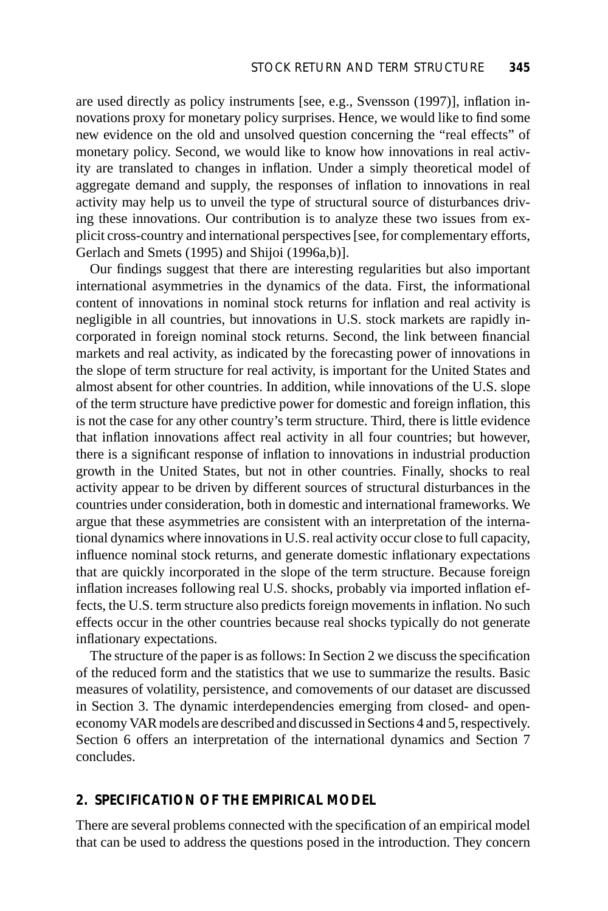are used directly as policy instruments [see, e.g., Svensson (1997)], inflation innovations proxy for monetary policy surprises. Hence, we would like to find some new evidence on the old and unsolved question concerning the "real effects" of monetary policy. Second, we would like to know how innovations in real activity are translated to changes in inflation. Under a simply theoretical model of aggregate demand and supply, the responses of inflation to innovations in real activity may help us to unveil the type of structural source of disturbances driving these innovations. Our contribution is to analyze these two issues from explicit cross-country and international perspectives [see, for complementary efforts, Gerlach and Smets (1995) and Shijoi (1996a,b)].

Our findings suggest that there are interesting regularities but also important international asymmetries in the dynamics of the data. First, the informational content of innovations in nominal stock returns for inflation and real activity is negligible in all countries, but innovations in U.S. stock markets are rapidly incorporated in foreign nominal stock returns. Second, the link between financial markets and real activity, as indicated by the forecasting power of innovations in the slope of term structure for real activity, is important for the United States and almost absent for other countries. In addition, while innovations of the U.S. slope of the term structure have predictive power for domestic and foreign inflation, this is not the case for any other country's term structure. Third, there is little evidence that inflation innovations affect real activity in all four countries; but however, there is a significant response of inflation to innovations in industrial production growth in the United States, but not in other countries. Finally, shocks to real activity appear to be driven by different sources of structural disturbances in the countries under consideration, both in domestic and international frameworks. We argue that these asymmetries are consistent with an interpretation of the international dynamics where innovations in U.S. real activity occur close to full capacity, influence nominal stock returns, and generate domestic inflationary expectations that are quickly incorporated in the slope of the term structure. Because foreign inflation increases following real U.S. shocks, probably via imported inflation effects, the U.S. term structure also predicts foreign movements in inflation. No such effects occur in the other countries because real shocks typically do not generate inflationary expectations.

The structure of the paper is as follows: In Section 2 we discuss the specification of the reduced form and the statistics that we use to summarize the results. Basic measures of volatility, persistence, and comovements of our dataset are discussed in Section 3. The dynamic interdependencies emerging from closed- and openeconomy VAR models are described and discussed in Sections 4 and 5, respectively. Section 6 offers an interpretation of the international dynamics and Section 7 concludes.

#### **2. SPECIFICATION OF THE EMPIRICAL MODEL**

There are several problems connected with the specification of an empirical model that can be used to address the questions posed in the introduction. They concern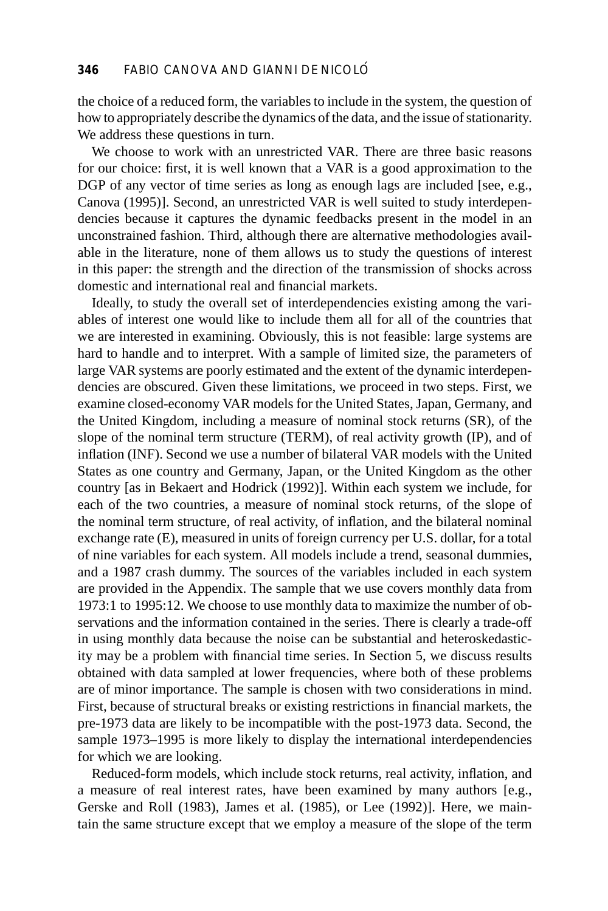the choice of a reduced form, the variables to include in the system, the question of how to appropriately describe the dynamics of the data, and the issue of stationarity. We address these questions in turn.

We choose to work with an unrestricted VAR. There are three basic reasons for our choice: first, it is well known that a VAR is a good approximation to the DGP of any vector of time series as long as enough lags are included [see, e.g., Canova (1995)]. Second, an unrestricted VAR is well suited to study interdependencies because it captures the dynamic feedbacks present in the model in an unconstrained fashion. Third, although there are alternative methodologies available in the literature, none of them allows us to study the questions of interest in this paper: the strength and the direction of the transmission of shocks across domestic and international real and financial markets.

Ideally, to study the overall set of interdependencies existing among the variables of interest one would like to include them all for all of the countries that we are interested in examining. Obviously, this is not feasible: large systems are hard to handle and to interpret. With a sample of limited size, the parameters of large VAR systems are poorly estimated and the extent of the dynamic interdependencies are obscured. Given these limitations, we proceed in two steps. First, we examine closed-economy VAR models for the United States, Japan, Germany, and the United Kingdom, including a measure of nominal stock returns (SR), of the slope of the nominal term structure (TERM), of real activity growth (IP), and of inflation (INF). Second we use a number of bilateral VAR models with the United States as one country and Germany, Japan, or the United Kingdom as the other country [as in Bekaert and Hodrick (1992)]. Within each system we include, for each of the two countries, a measure of nominal stock returns, of the slope of the nominal term structure, of real activity, of inflation, and the bilateral nominal exchange rate (E), measured in units of foreign currency per U.S. dollar, for a total of nine variables for each system. All models include a trend, seasonal dummies, and a 1987 crash dummy. The sources of the variables included in each system are provided in the Appendix. The sample that we use covers monthly data from 1973:1 to 1995:12. We choose to use monthly data to maximize the number of observations and the information contained in the series. There is clearly a trade-off in using monthly data because the noise can be substantial and heteroskedasticity may be a problem with financial time series. In Section 5, we discuss results obtained with data sampled at lower frequencies, where both of these problems are of minor importance. The sample is chosen with two considerations in mind. First, because of structural breaks or existing restrictions in financial markets, the pre-1973 data are likely to be incompatible with the post-1973 data. Second, the sample 1973–1995 is more likely to display the international interdependencies for which we are looking.

Reduced-form models, which include stock returns, real activity, inflation, and a measure of real interest rates, have been examined by many authors [e.g., Gerske and Roll (1983), James et al. (1985), or Lee (1992)]. Here, we maintain the same structure except that we employ a measure of the slope of the term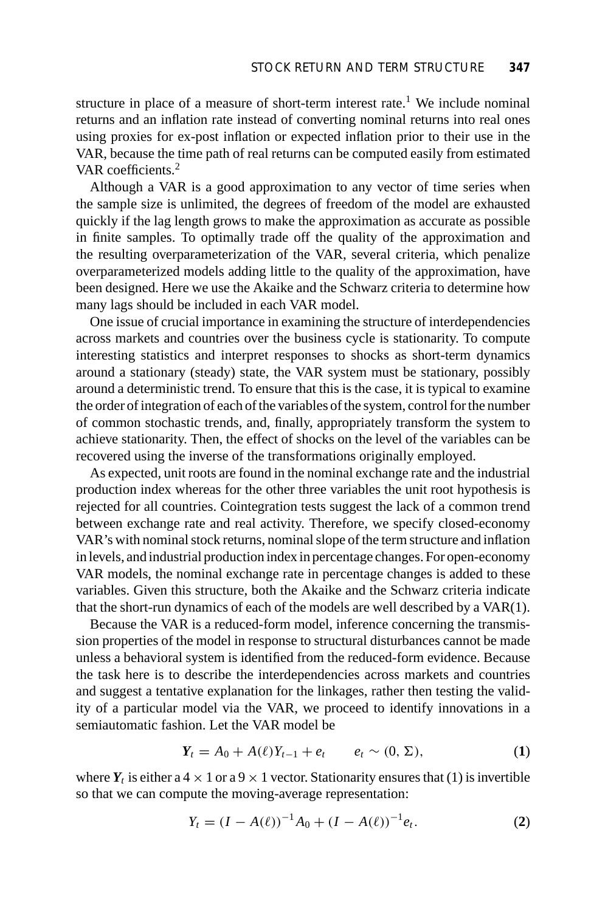structure in place of a measure of short-term interest rate.<sup>1</sup> We include nominal returns and an inflation rate instead of converting nominal returns into real ones using proxies for ex-post inflation or expected inflation prior to their use in the VAR, because the time path of real returns can be computed easily from estimated VAR coefficients.<sup>2</sup>

Although a VAR is a good approximation to any vector of time series when the sample size is unlimited, the degrees of freedom of the model are exhausted quickly if the lag length grows to make the approximation as accurate as possible in finite samples. To optimally trade off the quality of the approximation and the resulting overparameterization of the VAR, several criteria, which penalize overparameterized models adding little to the quality of the approximation, have been designed. Here we use the Akaike and the Schwarz criteria to determine how many lags should be included in each VAR model.

One issue of crucial importance in examining the structure of interdependencies across markets and countries over the business cycle is stationarity. To compute interesting statistics and interpret responses to shocks as short-term dynamics around a stationary (steady) state, the VAR system must be stationary, possibly around a deterministic trend. To ensure that this is the case, it is typical to examine the order of integration of each of the variables of the system, control for the number of common stochastic trends, and, finally, appropriately transform the system to achieve stationarity. Then, the effect of shocks on the level of the variables can be recovered using the inverse of the transformations originally employed.

As expected, unit roots are found in the nominal exchange rate and the industrial production index whereas for the other three variables the unit root hypothesis is rejected for all countries. Cointegration tests suggest the lack of a common trend between exchange rate and real activity. Therefore, we specify closed-economy VAR's with nominal stock returns, nominal slope of the term structure and inflation in levels, and industrial production index in percentage changes. For open-economy VAR models, the nominal exchange rate in percentage changes is added to these variables. Given this structure, both the Akaike and the Schwarz criteria indicate that the short-run dynamics of each of the models are well described by a VAR(1).

Because the VAR is a reduced-form model, inference concerning the transmission properties of the model in response to structural disturbances cannot be made unless a behavioral system is identified from the reduced-form evidence. Because the task here is to describe the interdependencies across markets and countries and suggest a tentative explanation for the linkages, rather then testing the validity of a particular model via the VAR, we proceed to identify innovations in a semiautomatic fashion. Let the VAR model be

$$
Y_t = A_0 + A(\ell)Y_{t-1} + e_t \qquad e_t \sim (0, \Sigma), \tag{1}
$$

where  $Y_t$  is either a  $4 \times 1$  or a  $9 \times 1$  vector. Stationarity ensures that (1) is invertible so that we can compute the moving-average representation:

$$
Y_t = (I - A(\ell))^{-1} A_0 + (I - A(\ell))^{-1} e_t.
$$
 (2)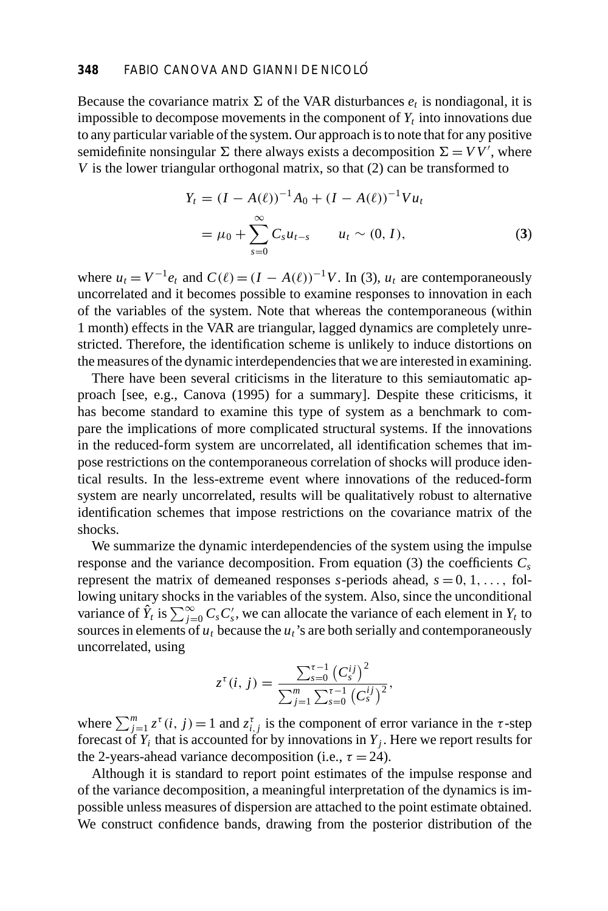Because the covariance matrix  $\Sigma$  of the VAR disturbances  $e_t$  is nondiagonal, it is impossible to decompose movements in the component of  $Y_t$  into innovations due to any particular variable of the system. Our approach is to note that for any positive semidefinite nonsingular  $\Sigma$  there always exists a decomposition  $\Sigma = VV'$ , where *V* is the lower triangular orthogonal matrix, so that (2) can be transformed to

$$
Y_t = (I - A(\ell))^{-1} A_0 + (I - A(\ell))^{-1} V u_t
$$
  
=  $\mu_0 + \sum_{s=0}^{\infty} C_s u_{t-s}$   $u_t \sim (0, I),$  (3)

where  $u_t = V^{-1}e_t$  and  $C(\ell) = (I - A(\ell))^{-1}V$ . In (3),  $u_t$  are contemporaneously uncorrelated and it becomes possible to examine responses to innovation in each of the variables of the system. Note that whereas the contemporaneous (within 1 month) effects in the VAR are triangular, lagged dynamics are completely unrestricted. Therefore, the identification scheme is unlikely to induce distortions on the measures of the dynamic interdependencies that we are interested in examining.

There have been several criticisms in the literature to this semiautomatic approach [see, e.g., Canova (1995) for a summary]. Despite these criticisms, it has become standard to examine this type of system as a benchmark to compare the implications of more complicated structural systems. If the innovations in the reduced-form system are uncorrelated, all identification schemes that impose restrictions on the contemporaneous correlation of shocks will produce identical results. In the less-extreme event where innovations of the reduced-form system are nearly uncorrelated, results will be qualitatively robust to alternative identification schemes that impose restrictions on the covariance matrix of the shocks.

We summarize the dynamic interdependencies of the system using the impulse response and the variance decomposition. From equation  $(3)$  the coefficients  $C_s$ represent the matrix of demeaned responses *s*-periods ahead,  $s = 0, 1, \ldots$ , following unitary shocks in the variables of the system. Also, since the unconditional variance of  $\hat{Y}_t$  is  $\sum_{j=0}^{\infty} C_s C'_s$ , we can allocate the variance of each element in  $Y_t$  to sources in elements of  $u_t$  because the  $u_t$ 's are both serially and contemporaneously uncorrelated, using

$$
z^{\tau}(i, j) = \frac{\sum_{s=0}^{\tau-1} (C_s^{ij})^2}{\sum_{j=1}^m \sum_{s=0}^{\tau-1} (C_s^{ij})^2},
$$

where  $\sum_{j=1}^{m} z^{\tau}(i, j) = 1$  and  $z_{i,j}^{\tau}$  is the component of error variance in the  $\tau$ -step forecast of  $Y_i$  that is accounted for by innovations in  $Y_i$ . Here we report results for the 2-years-ahead variance decomposition (i.e.,  $\tau = 24$ ).

Although it is standard to report point estimates of the impulse response and of the variance decomposition, a meaningful interpretation of the dynamics is impossible unless measures of dispersion are attached to the point estimate obtained. We construct confidence bands, drawing from the posterior distribution of the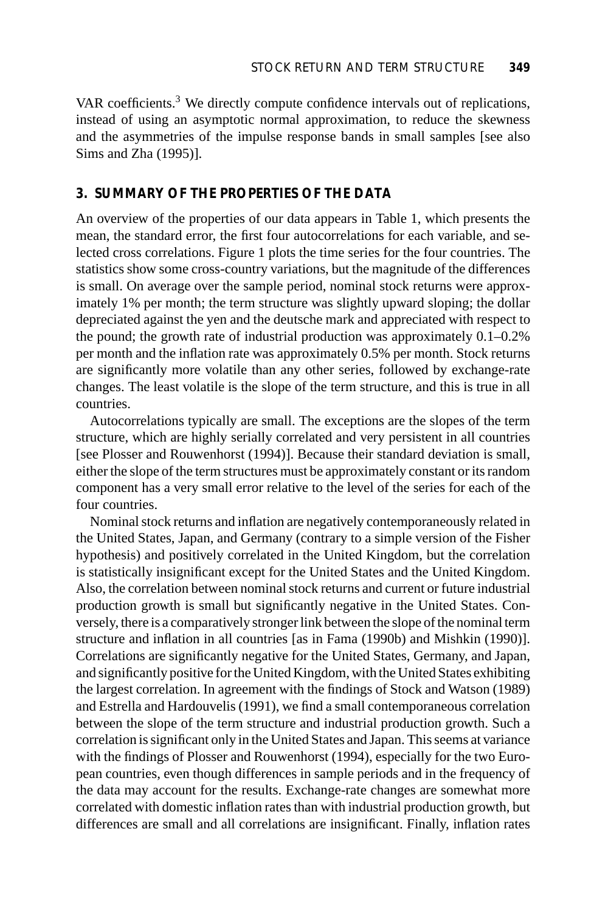VAR coefficients.3 We directly compute confidence intervals out of replications, instead of using an asymptotic normal approximation, to reduce the skewness and the asymmetries of the impulse response bands in small samples [see also Sims and Zha (1995)].

# **3. SUMMARY OF THE PROPERTIES OF THE DATA**

An overview of the properties of our data appears in Table 1, which presents the mean, the standard error, the first four autocorrelations for each variable, and selected cross correlations. Figure 1 plots the time series for the four countries. The statistics show some cross-country variations, but the magnitude of the differences is small. On average over the sample period, nominal stock returns were approximately 1% per month; the term structure was slightly upward sloping; the dollar depreciated against the yen and the deutsche mark and appreciated with respect to the pound; the growth rate of industrial production was approximately 0.1–0.2% per month and the inflation rate was approximately 0.5% per month. Stock returns are significantly more volatile than any other series, followed by exchange-rate changes. The least volatile is the slope of the term structure, and this is true in all countries.

Autocorrelations typically are small. The exceptions are the slopes of the term structure, which are highly serially correlated and very persistent in all countries [see Plosser and Rouwenhorst (1994)]. Because their standard deviation is small, either the slope of the term structures must be approximately constant or its random component has a very small error relative to the level of the series for each of the four countries.

Nominal stock returns and inflation are negatively contemporaneously related in the United States, Japan, and Germany (contrary to a simple version of the Fisher hypothesis) and positively correlated in the United Kingdom, but the correlation is statistically insignificant except for the United States and the United Kingdom. Also, the correlation between nominal stock returns and current or future industrial production growth is small but significantly negative in the United States. Conversely, there is a comparatively stronger link between the slope of the nominal term structure and inflation in all countries [as in Fama (1990b) and Mishkin (1990)]. Correlations are significantly negative for the United States, Germany, and Japan, and significantly positive for the United Kingdom, with the United States exhibiting the largest correlation. In agreement with the findings of Stock and Watson (1989) and Estrella and Hardouvelis (1991), we find a small contemporaneous correlation between the slope of the term structure and industrial production growth. Such a correlation is significant only in the United States and Japan. This seems at variance with the findings of Plosser and Rouwenhorst (1994), especially for the two European countries, even though differences in sample periods and in the frequency of the data may account for the results. Exchange-rate changes are somewhat more correlated with domestic inflation rates than with industrial production growth, but differences are small and all correlations are insignificant. Finally, inflation rates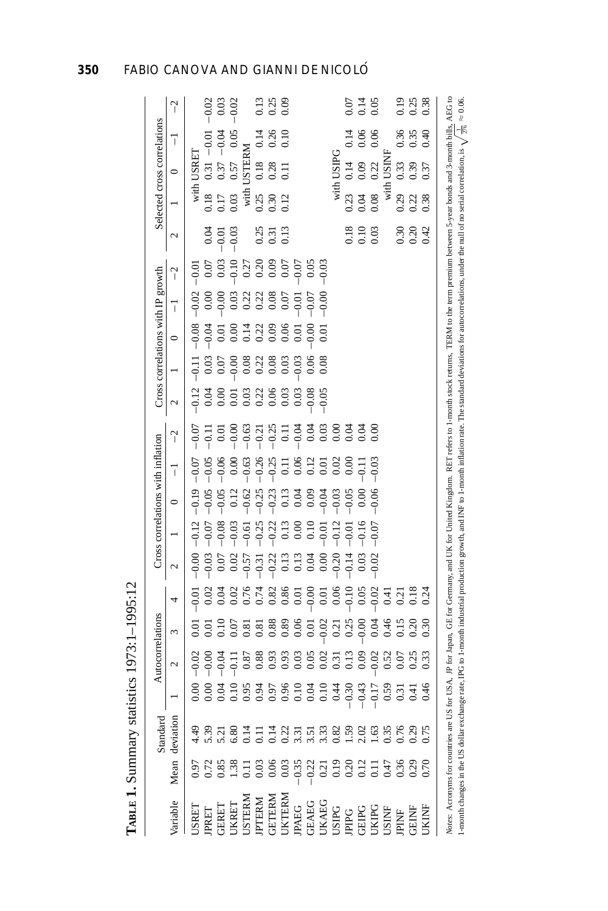|                                                                                                                                                                                                                                            | TABLE 1. Summary statistics 1973:1-1995:12 |                               |                  |                  |                 |               |             |                                   |                      |                  |                  |         |                  |                                   |                  |                   |                             |               |         |               |
|--------------------------------------------------------------------------------------------------------------------------------------------------------------------------------------------------------------------------------------------|--------------------------------------------|-------------------------------|------------------|------------------|-----------------|---------------|-------------|-----------------------------------|----------------------|------------------|------------------|---------|------------------|-----------------------------------|------------------|-------------------|-----------------------------|---------------|---------|---------------|
|                                                                                                                                                                                                                                            | Standard                                   |                               | Autocorrelations |                  |                 |               |             | Cross correlations with inflation |                      |                  |                  |         |                  | Cross correlations with IP growth |                  |                   | Selected cross correlations |               |         |               |
| /ariable                                                                                                                                                                                                                                   | $\overline{a}$<br>Mean deviatio            |                               | $\mathcal{L}$    | 3                | 4               | $\mathcal{C}$ |             | $\circ$                           | $\overline{1}$       | $\sim$           | $\mathcal{L}$    |         | $\circ$          | ī                                 | $\tilde{c}$      | $\mathbf{c}$      |                             | $\circ$       | ī       | $\sim$        |
|                                                                                                                                                                                                                                            |                                            | $\rm{6.00}$                   | $-0.02$          | 5.<br>0          | $-0.01$         | $-0.00$       | $-0.12$     | $-0.19$                           | $-0.07$              | $-0.07$          | $-0.12$          | $-0.11$ | $-0.08$          | $-0.02$                           |                  |                   |                             | with USRET    |         |               |
|                                                                                                                                                                                                                                            |                                            | 0.00                          | $-0.00$          | $\overline{0}$ . | 0.02            | $-0.03$       | $-0.07$     | $-0.05$                           | $-0.05$              | $-0.1$           | 0.0 <sub>k</sub> | 0.03    | $-0.04$          | 0.00                              | 0.0              | 0.04              | 0.18                        | 0.31          | $-0.01$ | $-0.02$       |
|                                                                                                                                                                                                                                            |                                            |                               | $-0.02$          | $\frac{1}{2}$    | 0.04            | 0.07          | $-0.08$     | $-0.05$                           | $-0.06$              | 0.0              | 0.00             | 0.0     | $_{0.0}$         | $-0.00$                           | 0.0              | $-0.01$           | 0.17                        | 0.37          | $-0.04$ | 0.03          |
|                                                                                                                                                                                                                                            |                                            | 0.10                          | $-0.1$           | 0.07             | 0.02            | 0.02          | $-0.03$     | 0.12                              | 0.0C                 | $-0.00$          | 0.01             | $-0.0C$ | $\rm{O}$         | 0.03                              | $-0.10$          | $-0.03$           | 0.03                        | 0.57          | 0.05    | $-0.02$       |
|                                                                                                                                                                                                                                            |                                            | 0.95                          | 0.87             | 0.81             | 0.76            | $-0.57$       | $-0.61$     | $-0.62$                           | $-0.63$              | $-0.63$          | 0.03             | 0.08    | $\frac{1}{2}$    | 0.22                              | 0.27             |                   | with                        | <b>USTERM</b> |         |               |
|                                                                                                                                                                                                                                            |                                            | 0.94                          | 0.88             | 0.81             | 0.74            | $-0.31$       | $-0.25$     | $-0.25$                           | $-0.26$              | $-0.21$          | 0.22             | 0.22    | 0.22             | 0.22                              | $\frac{20}{2}$   | 0.25              | 0.25                        | 0.18          | 0.14    | 0.13          |
|                                                                                                                                                                                                                                            |                                            | 0.97                          | 0.93             | 0.88             | 0.82            | $-0.22$       | $-0.22$     | $-0.23$                           | $-0.25$              | $-0.25$          | 0.06             | 0.08    | 0.05             | $\tilde{0}$ .0                    | $\ddot{\rm o}$   | $\overline{0.31}$ | 0.30                        | 0.28          | 0.26    | 0.25          |
|                                                                                                                                                                                                                                            |                                            | $\frac{5}{6}$                 | 0.9              | 0.89             | 0.86            | 0.13          | 0.13        | 0.13                              | $\overline{0}$ .     | $\overline{0}$   | 0.03             | 0.0     | $\tilde{0}$      | 0.0                               | 0.0              | 0.13              | 0.12                        | $\Xi$         | 0.10    | 0.09          |
|                                                                                                                                                                                                                                            |                                            | $\overline{0}$ .              | 0.0              | 0.06             | $\overline{0}$  | 0.13          | 0.00        | 0.04                              | 0.06                 | $-0.04$          | 0.0              | $-0.0$  | $\overline{0}$ . | $-0.0$                            | $-0.07$          |                   |                             |               |         |               |
|                                                                                                                                                                                                                                            |                                            | 0.04                          | 0.05             | $\overline{0.0}$ | $-0.00$         | 0.04          | $rac{1}{2}$ | 0.05                              | 0.12                 | 0.0 <sub>6</sub> | $-0.08$          | 0.06    | $-0.00$          | $-0.07$                           | 0.0 <sup>2</sup> |                   |                             |               |         |               |
|                                                                                                                                                                                                                                            |                                            | $\frac{1}{2}$                 | 0.02             | $-0.02$          | 0.01            | 0.00          | $-0.01$     | $-0.04$                           | 0.01                 | 0.03             | $-0.05$          | 0.08    | 5.<br>0          | $-0.00$                           | $-0.03$          |                   |                             |               |         |               |
|                                                                                                                                                                                                                                            |                                            | 0.44                          | 0.31             | 0.21             | 0.06            | $-0.20$       | $-0.12$     | $-0.03$                           | 0.02                 | 0.0(             |                  |         |                  |                                   |                  |                   |                             | with USIPG    |         |               |
|                                                                                                                                                                                                                                            |                                            |                               | 0.13             | 0.25             | $-0.10$         | $-0.14$       | $-0.01$     | $-0.05$                           | $\tilde{\mathrm{C}}$ | 0.04             |                  |         |                  |                                   |                  | 0.18              | 0.23                        | 0.14          | 0.14    | 0.07          |
|                                                                                                                                                                                                                                            |                                            | $-0.30$<br>$-0.43$<br>$-0.17$ | 0.09             | $-0.00$          | 0.05            | 0.03          | $-0.16$     | $\alpha$                          | $-0.1$               | 0.0 <sub>k</sub> |                  |         |                  |                                   |                  | 0.10              | 0.04                        | 0.09          | 0.06    | 2.14          |
| USRET<br>CHERA MARINE SERVER MARKET<br>CHERA MARKET SERVER MARKET<br>CHERA MARKET SERVER MARKET SERVER MARKET SERVER MARKET SERVER MARKET SERVER MARKET SERVER MARKET SERVER MARKET<br>CHERA MARKET SERVER MARKET SERVER MARKET SERVER MAR |                                            |                               | $-0.02$          | 0.04             | $-0.02$         | $-0.02$       | $-0.07$     | $-0.06$                           | $-0.03$              | Θ                |                  |         |                  |                                   |                  | 0.03              | 0.08                        | 0.22          | 0.06    | 0.05          |
|                                                                                                                                                                                                                                            |                                            | 0.59                          | 0.52             | $\ddot{=}$       | 0.41            |               |             |                                   |                      |                  |                  |         |                  |                                   |                  |                   |                             | with USINF    |         |               |
|                                                                                                                                                                                                                                            |                                            | 0.31                          | 0.0              | 0.15             | 0.21            |               |             |                                   |                      |                  |                  |         |                  |                                   |                  | 0.30              | 0.29                        | 0.33          | 0.36    | $\frac{1}{2}$ |
|                                                                                                                                                                                                                                            |                                            | 6.41                          | 0.25             | 0.20             | $\frac{18}{15}$ |               |             |                                   |                      |                  |                  |         |                  |                                   |                  | 0.20              | 0.22                        | 0.39          | 0.35    | 0.25          |
|                                                                                                                                                                                                                                            |                                            | 0.46                          | 0.33             | 0.30             | 0.24            |               |             |                                   |                      |                  |                  |         |                  |                                   |                  | 0.42              | 0.38                        | 0.37          | 0.40    | 0.38          |

Notes: Acronyms for countries are US for USA, JP for Japan, GE for Germany, and UK for United Kingdom. RET refers to 1-month stock returns, TERM to the term premium between 5-year bonds and 3-month bills, AEG to 1-month changes in the US dollar exchange rate, IPG to 1-month industrial production growth, and INF to 1-month inflation rate. The standard deviations for autocorrelations, under the null of no serial correlation, is  $\sqrt{\frac{1}{276}} \approx 0.06.$ 

## **350** FABIO CANOVA AND GIANNI DE NICOLO´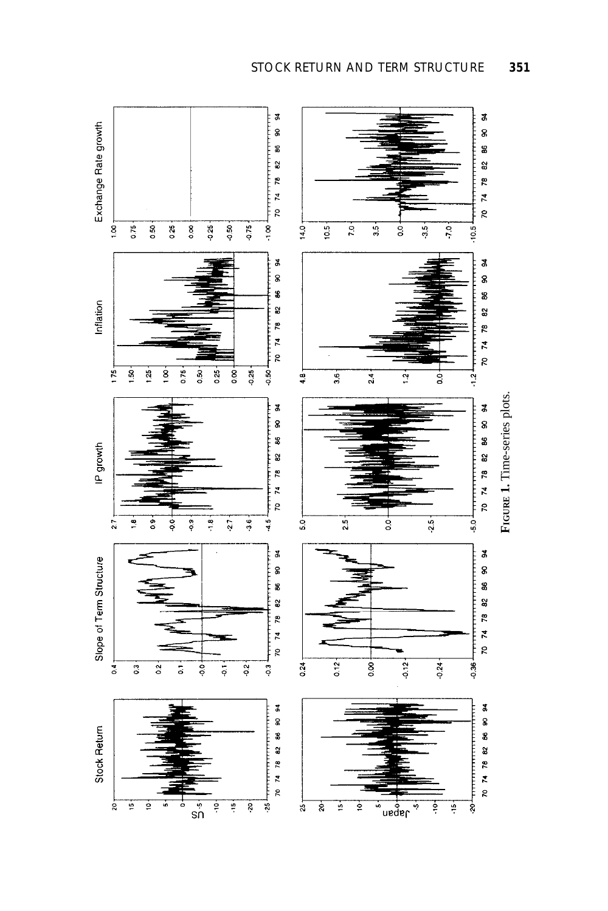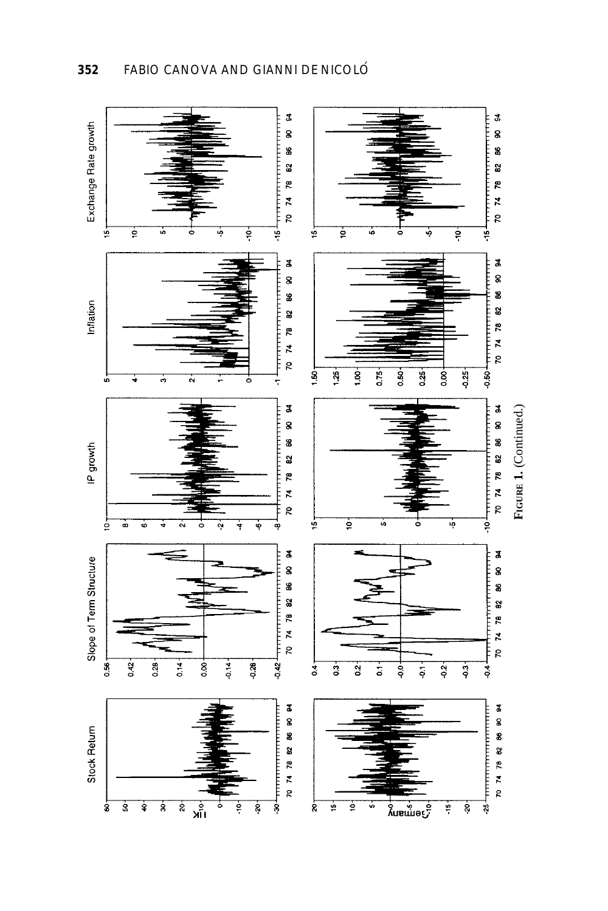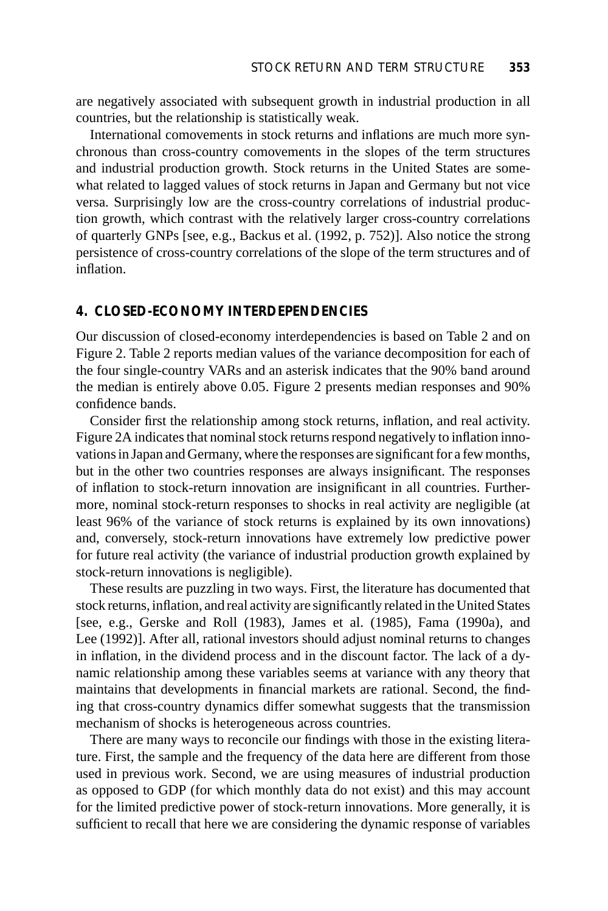are negatively associated with subsequent growth in industrial production in all countries, but the relationship is statistically weak.

International comovements in stock returns and inflations are much more synchronous than cross-country comovements in the slopes of the term structures and industrial production growth. Stock returns in the United States are somewhat related to lagged values of stock returns in Japan and Germany but not vice versa. Surprisingly low are the cross-country correlations of industrial production growth, which contrast with the relatively larger cross-country correlations of quarterly GNPs [see, e.g., Backus et al. (1992, p. 752)]. Also notice the strong persistence of cross-country correlations of the slope of the term structures and of inflation.

#### **4. CLOSED-ECONOMY INTERDEPENDENCIES**

Our discussion of closed-economy interdependencies is based on Table 2 and on Figure 2. Table 2 reports median values of the variance decomposition for each of the four single-country VARs and an asterisk indicates that the 90% band around the median is entirely above 0.05. Figure 2 presents median responses and 90% confidence bands.

Consider first the relationship among stock returns, inflation, and real activity. Figure 2A indicates that nominal stock returns respond negatively to inflation innovations in Japan and Germany, where the responses are significant for a few months, but in the other two countries responses are always insignificant. The responses of inflation to stock-return innovation are insignificant in all countries. Furthermore, nominal stock-return responses to shocks in real activity are negligible (at least 96% of the variance of stock returns is explained by its own innovations) and, conversely, stock-return innovations have extremely low predictive power for future real activity (the variance of industrial production growth explained by stock-return innovations is negligible).

These results are puzzling in two ways. First, the literature has documented that stock returns, inflation, and real activity are significantly related in the United States [see, e.g., Gerske and Roll (1983), James et al. (1985), Fama (1990a), and Lee (1992)]. After all, rational investors should adjust nominal returns to changes in inflation, in the dividend process and in the discount factor. The lack of a dynamic relationship among these variables seems at variance with any theory that maintains that developments in financial markets are rational. Second, the finding that cross-country dynamics differ somewhat suggests that the transmission mechanism of shocks is heterogeneous across countries.

There are many ways to reconcile our findings with those in the existing literature. First, the sample and the frequency of the data here are different from those used in previous work. Second, we are using measures of industrial production as opposed to GDP (for which monthly data do not exist) and this may account for the limited predictive power of stock-return innovations. More generally, it is sufficient to recall that here we are considering the dynamic response of variables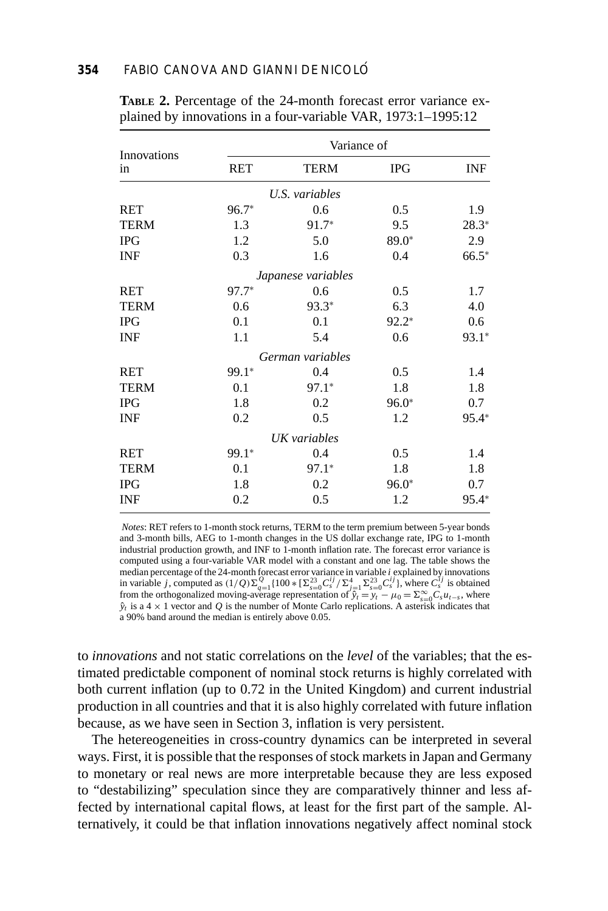| <b>RET</b> | <b>TERM</b> | <b>IPG</b>                                                               | <b>INF</b>  |
|------------|-------------|--------------------------------------------------------------------------|-------------|
|            |             |                                                                          |             |
| $96.7*$    | 0.6         | 0.5                                                                      | 1.9         |
| 1.3        | 91.7*       | 9.5                                                                      | $28.3*$     |
| 1.2        | 5.0         | 89.0*                                                                    | 2.9         |
| 0.3        | 1.6         | 0.4                                                                      | $66.5*$     |
|            |             |                                                                          |             |
| $97.7*$    | 0.6         | 0.5                                                                      | 1.7         |
| 0.6        | $93.3*$     | 6.3                                                                      | 4.0         |
| 0.1        | 0.1         | $92.2*$                                                                  | 0.6         |
| 1.1        | 5.4         | 0.6                                                                      | $93.1*$     |
|            |             |                                                                          |             |
| $99.1*$    | 0.4         | 0.5                                                                      | 1.4         |
| 0.1        | $97.1*$     | 1.8                                                                      | 1.8         |
| 1.8        | 0.2         | $96.0*$                                                                  | 0.7         |
| 0.2        | 0.5         | 1.2                                                                      | $95.4*$     |
|            |             |                                                                          |             |
| $99.1*$    | 0.4         | 0.5                                                                      | 1.4         |
| 0.1        | 97.1*       | 1.8                                                                      | 1.8         |
| 1.8        | 0.2         | $96.0*$                                                                  | 0.7         |
| 0.2        | 0.5         | 1.2                                                                      | $95.4*$     |
|            |             | U.S. variables<br>Japanese variables<br>German variables<br>UK variables | Variance of |

**TABLE 2.** Percentage of the 24-month forecast error variance explained by innovations in a four-variable VAR, 1973:1–1995:12

*Notes*: RET refers to 1-month stock returns, TERM to the term premium between 5-year bonds and 3-month bills, AEG to 1-month changes in the US dollar exchange rate, IPG to 1-month industrial production growth, and INF to 1-month inflation rate. The forecast error variance is computed using a four-variable VAR model with a constant and one lag. The table shows the median percentage of the 24-month forecast error variance in variable *i* explained by innovations<br>in variable *j*, computed as  $(1/Q)\Sigma_{q=1}^Q \{100 * [\Sigma_{s=0}^2 C_s^{ij}/\Sigma_{j=1}^4 \Sigma_{s=0}^{23} C_s^{ij})\}$ , where  $C_s^{ij}$  is obtained<br>from  $\hat{y}_t$  is a 4  $\times$  1 vector and *Q* is the number of Monte Carlo replications. A asterisk indicates that a 90% band around the median is entirely above 0.05.

to *innovations* and not static correlations on the *level* of the variables; that the estimated predictable component of nominal stock returns is highly correlated with both current inflation (up to 0.72 in the United Kingdom) and current industrial production in all countries and that it is also highly correlated with future inflation because, as we have seen in Section 3, inflation is very persistent.

The hetereogeneities in cross-country dynamics can be interpreted in several ways. First, it is possible that the responses of stock markets in Japan and Germany to monetary or real news are more interpretable because they are less exposed to "destabilizing" speculation since they are comparatively thinner and less affected by international capital flows, at least for the first part of the sample. Alternatively, it could be that inflation innovations negatively affect nominal stock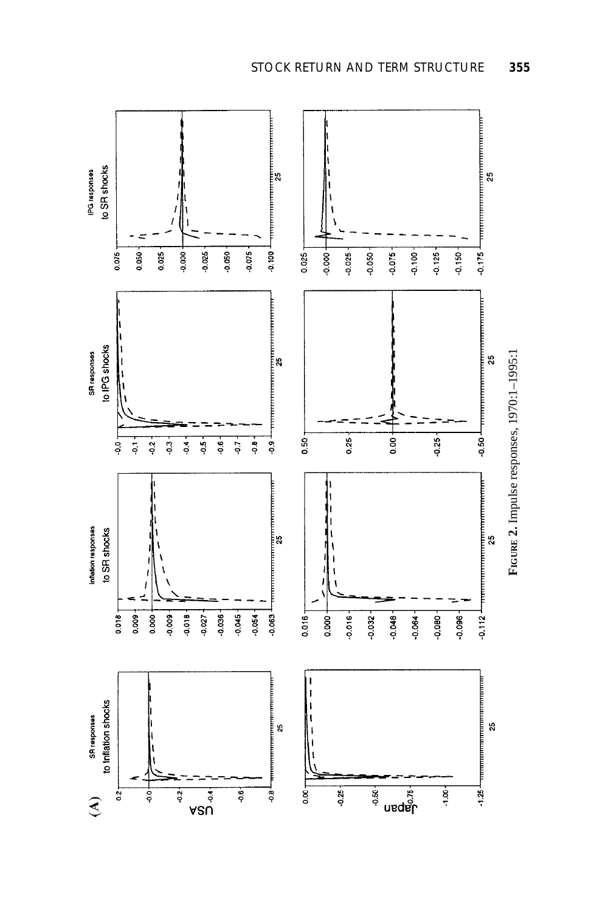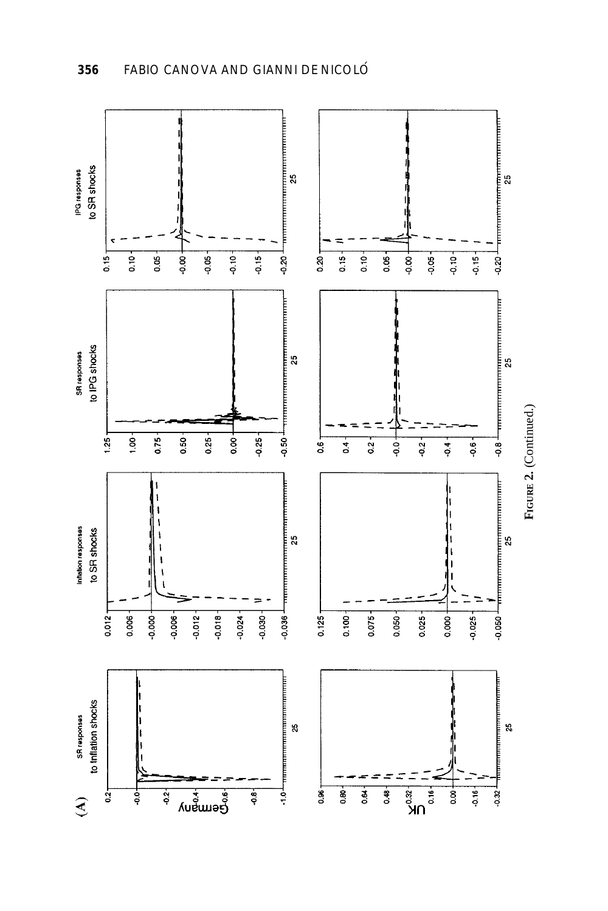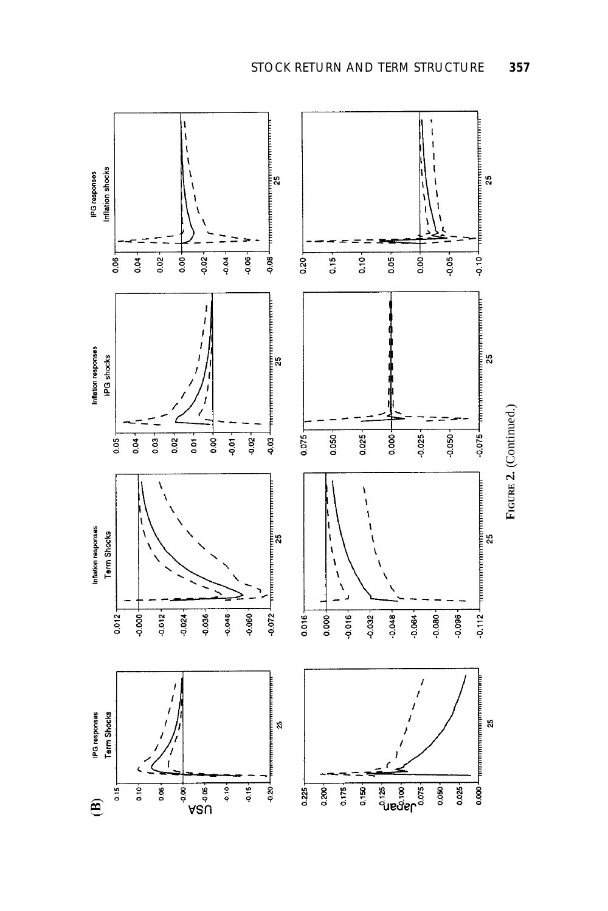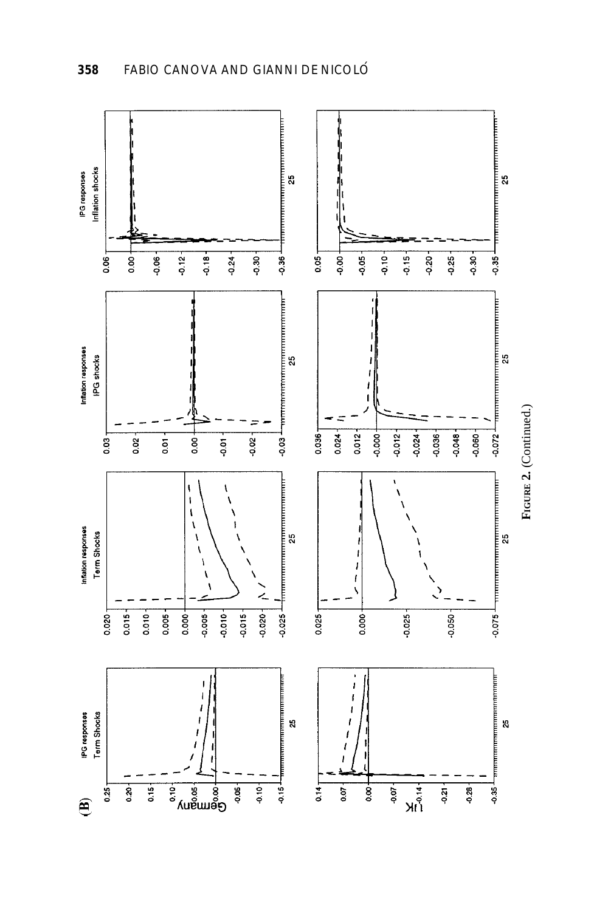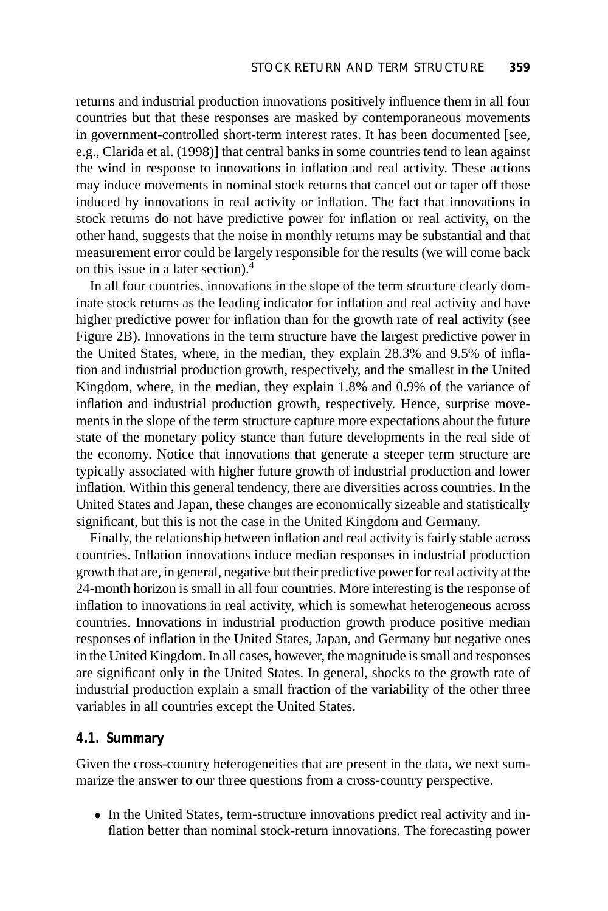returns and industrial production innovations positively influence them in all four countries but that these responses are masked by contemporaneous movements in government-controlled short-term interest rates. It has been documented [see, e.g., Clarida et al. (1998)] that central banks in some countries tend to lean against the wind in response to innovations in inflation and real activity. These actions may induce movements in nominal stock returns that cancel out or taper off those induced by innovations in real activity or inflation. The fact that innovations in stock returns do not have predictive power for inflation or real activity, on the other hand, suggests that the noise in monthly returns may be substantial and that measurement error could be largely responsible for the results (we will come back on this issue in a later section).4

In all four countries, innovations in the slope of the term structure clearly dominate stock returns as the leading indicator for inflation and real activity and have higher predictive power for inflation than for the growth rate of real activity (see Figure 2B). Innovations in the term structure have the largest predictive power in the United States, where, in the median, they explain 28.3% and 9.5% of inflation and industrial production growth, respectively, and the smallest in the United Kingdom, where, in the median, they explain 1.8% and 0.9% of the variance of inflation and industrial production growth, respectively. Hence, surprise movements in the slope of the term structure capture more expectations about the future state of the monetary policy stance than future developments in the real side of the economy. Notice that innovations that generate a steeper term structure are typically associated with higher future growth of industrial production and lower inflation. Within this general tendency, there are diversities across countries. In the United States and Japan, these changes are economically sizeable and statistically significant, but this is not the case in the United Kingdom and Germany.

Finally, the relationship between inflation and real activity is fairly stable across countries. Inflation innovations induce median responses in industrial production growth that are, in general, negative but their predictive power for real activity at the 24-month horizon is small in all four countries. More interesting is the response of inflation to innovations in real activity, which is somewhat heterogeneous across countries. Innovations in industrial production growth produce positive median responses of inflation in the United States, Japan, and Germany but negative ones in the United Kingdom. In all cases, however, the magnitude is small and responses are significant only in the United States. In general, shocks to the growth rate of industrial production explain a small fraction of the variability of the other three variables in all countries except the United States.

#### **4.1. Summary**

Given the cross-country heterogeneities that are present in the data, we next summarize the answer to our three questions from a cross-country perspective.

• In the United States, term-structure innovations predict real activity and inflation better than nominal stock-return innovations. The forecasting power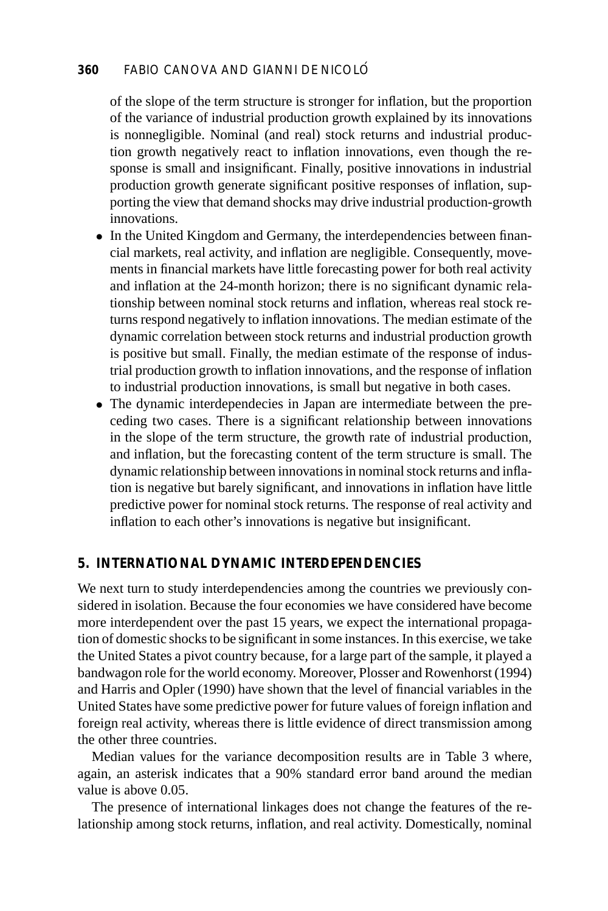of the slope of the term structure is stronger for inflation, but the proportion of the variance of industrial production growth explained by its innovations is nonnegligible. Nominal (and real) stock returns and industrial production growth negatively react to inflation innovations, even though the response is small and insignificant. Finally, positive innovations in industrial production growth generate significant positive responses of inflation, supporting the view that demand shocks may drive industrial production-growth innovations.

- In the United Kingdom and Germany, the interdependencies between financial markets, real activity, and inflation are negligible. Consequently, movements in financial markets have little forecasting power for both real activity and inflation at the 24-month horizon; there is no significant dynamic relationship between nominal stock returns and inflation, whereas real stock returns respond negatively to inflation innovations. The median estimate of the dynamic correlation between stock returns and industrial production growth is positive but small. Finally, the median estimate of the response of industrial production growth to inflation innovations, and the response of inflation to industrial production innovations, is small but negative in both cases.
- The dynamic interdependecies in Japan are intermediate between the preceding two cases. There is a significant relationship between innovations in the slope of the term structure, the growth rate of industrial production, and inflation, but the forecasting content of the term structure is small. The dynamic relationship between innovations in nominal stock returns and inflation is negative but barely significant, and innovations in inflation have little predictive power for nominal stock returns. The response of real activity and inflation to each other's innovations is negative but insignificant.

# **5. INTERNATIONAL DYNAMIC INTERDEPENDENCIES**

We next turn to study interdependencies among the countries we previously considered in isolation. Because the four economies we have considered have become more interdependent over the past 15 years, we expect the international propagation of domestic shocks to be significant in some instances. In this exercise, we take the United States a pivot country because, for a large part of the sample, it played a bandwagon role for the world economy. Moreover, Plosser and Rowenhorst (1994) and Harris and Opler (1990) have shown that the level of financial variables in the United States have some predictive power for future values of foreign inflation and foreign real activity, whereas there is little evidence of direct transmission among the other three countries.

Median values for the variance decomposition results are in Table 3 where, again, an asterisk indicates that a 90% standard error band around the median value is above 0.05.

The presence of international linkages does not change the features of the relationship among stock returns, inflation, and real activity. Domestically, nominal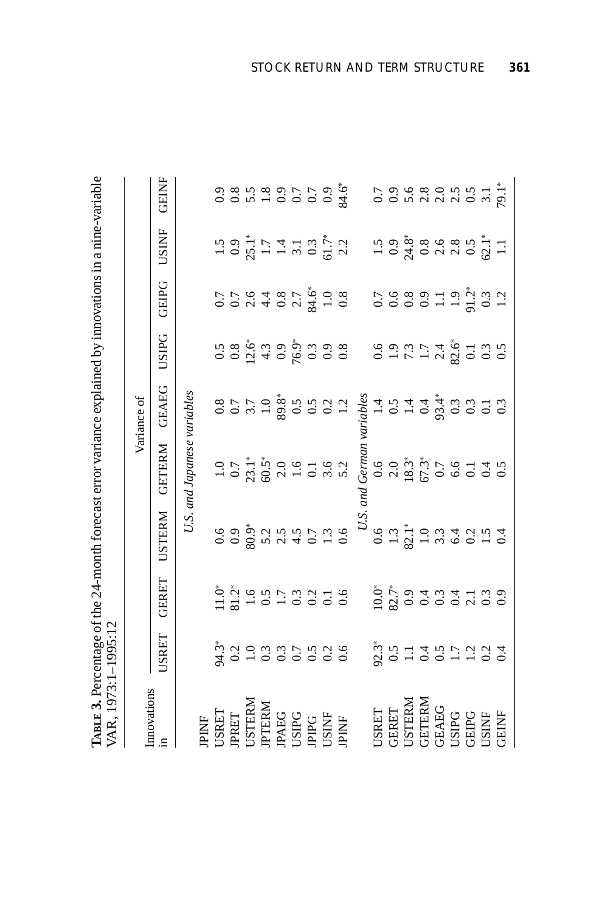| VAR, 1973:1-1995:12                                 |                                                          |       | TABLE 3. Percentage of the 24-month forecast error variance explained by innovations in a nine-variable |                                                                                                                                                                                                                                                                                                                                     |                                                                                                                                                                                                                                                                                                                 |                   |                                                                 |                                                         |              |
|-----------------------------------------------------|----------------------------------------------------------|-------|---------------------------------------------------------------------------------------------------------|-------------------------------------------------------------------------------------------------------------------------------------------------------------------------------------------------------------------------------------------------------------------------------------------------------------------------------------|-----------------------------------------------------------------------------------------------------------------------------------------------------------------------------------------------------------------------------------------------------------------------------------------------------------------|-------------------|-----------------------------------------------------------------|---------------------------------------------------------|--------------|
| Innovations                                         |                                                          |       |                                                                                                         |                                                                                                                                                                                                                                                                                                                                     | Variance of                                                                                                                                                                                                                                                                                                     |                   |                                                                 |                                                         |              |
| Ξ                                                   | <b>USRET</b>                                             | GERET | <b>USTERM</b>                                                                                           | <b>GETERM</b>                                                                                                                                                                                                                                                                                                                       | <b>GEAEG</b>                                                                                                                                                                                                                                                                                                    | <b>USIPG</b>      | GEIPG                                                           | <b>USINF</b>                                            | <b>GEINF</b> |
|                                                     |                                                          |       |                                                                                                         | U.S. and Japanese variables                                                                                                                                                                                                                                                                                                         |                                                                                                                                                                                                                                                                                                                 |                   |                                                                 |                                                         |              |
|                                                     |                                                          |       |                                                                                                         |                                                                                                                                                                                                                                                                                                                                     |                                                                                                                                                                                                                                                                                                                 |                   |                                                                 |                                                         |              |
| <b>JPINF</b><br>USRET                               |                                                          |       |                                                                                                         |                                                                                                                                                                                                                                                                                                                                     |                                                                                                                                                                                                                                                                                                                 |                   |                                                                 |                                                         |              |
| <b>IPRET</b>                                        |                                                          |       |                                                                                                         |                                                                                                                                                                                                                                                                                                                                     |                                                                                                                                                                                                                                                                                                                 |                   |                                                                 |                                                         |              |
| <b>JSTERM</b>                                       |                                                          |       |                                                                                                         |                                                                                                                                                                                                                                                                                                                                     |                                                                                                                                                                                                                                                                                                                 |                   |                                                                 |                                                         |              |
|                                                     |                                                          |       |                                                                                                         |                                                                                                                                                                                                                                                                                                                                     |                                                                                                                                                                                                                                                                                                                 |                   |                                                                 |                                                         |              |
|                                                     |                                                          |       |                                                                                                         |                                                                                                                                                                                                                                                                                                                                     |                                                                                                                                                                                                                                                                                                                 |                   |                                                                 |                                                         |              |
|                                                     |                                                          |       |                                                                                                         |                                                                                                                                                                                                                                                                                                                                     |                                                                                                                                                                                                                                                                                                                 |                   |                                                                 |                                                         |              |
| JPTERM<br>JPAEG<br>USIPG<br>USINF<br>USINF<br>JPINF |                                                          |       |                                                                                                         |                                                                                                                                                                                                                                                                                                                                     |                                                                                                                                                                                                                                                                                                                 |                   |                                                                 |                                                         |              |
|                                                     |                                                          |       |                                                                                                         |                                                                                                                                                                                                                                                                                                                                     |                                                                                                                                                                                                                                                                                                                 |                   |                                                                 |                                                         |              |
|                                                     |                                                          |       |                                                                                                         |                                                                                                                                                                                                                                                                                                                                     | $\begin{array}{c} 0.8 \\ 0.7 \\ 0.7 \\ 0.8 \\ 0.9 \\ 0.03 \\ 0.03 \\ 0.03 \\ 0.03 \\ 0.03 \\ 0.03 \\ 0.03 \\ 0.03 \\ 0.03 \\ 0.03 \\ 0.03 \\ 0.03 \\ 0.03 \\ 0.03 \\ 0.03 \\ 0.03 \\ 0.03 \\ 0.03 \\ 0.03 \\ 0.03 \\ 0.03 \\ 0.03 \\ 0.03 \\ 0.03 \\ 0.03 \\ 0.03 \\ 0.03 \\ 0.03 \\ 0.03 \\ 0.03 \\ 0.03 \\ 0$ |                   | 0 0 1 4 0 1 2 3 1 0<br>0 0 1 4 0 1 2 4 0 0<br>0 0 1 4 0 1 2 5 0 | $\begin{array}{c} 1.5 \\ 0.9 \\ 0.9 \\ 0.1 \end{array}$ |              |
|                                                     |                                                          |       |                                                                                                         | 1.0<br>$\frac{1}{2}$ , $\frac{1}{2}$ , $\frac{1}{3}$ , $\frac{1}{3}$ , $\frac{1}{3}$ , $\frac{1}{3}$ , $\frac{1}{3}$ , $\frac{1}{3}$ , $\frac{1}{3}$ , $\frac{1}{3}$ , $\frac{1}{3}$ , $\frac{1}{3}$ , $\frac{1}{3}$ , $\frac{1}{3}$ , $\frac{1}{3}$ , $\frac{1}{3}$ , $\frac{1}{3}$ , $\frac{1}{3}$ , $\frac{1}{3}$ , $\frac{1}{3$ | riables                                                                                                                                                                                                                                                                                                         |                   |                                                                 |                                                         |              |
| <b>USRET</b>                                        |                                                          |       |                                                                                                         |                                                                                                                                                                                                                                                                                                                                     |                                                                                                                                                                                                                                                                                                                 |                   |                                                                 |                                                         |              |
| <b>GERET</b>                                        | as<br>Subdividus distribution<br>Subdividus distribution |       | $0.5$ $0.71$ $0.71$ $0.71$ $0.71$ $0.71$ $0.71$ $0.71$ $0.71$ $0.71$ $0.71$ $0.71$ $0.71$               | 0.0<br>0.0 mm<br>0.0 0.0 0.0 0.0<br>0.0 0.0 0.0 0.0                                                                                                                                                                                                                                                                                 |                                                                                                                                                                                                                                                                                                                 | $0.9977746770300$ | $0.98919$ $0.2919$ $0.291$                                      |                                                         |              |
| <b>JSTERM</b>                                       |                                                          |       |                                                                                                         |                                                                                                                                                                                                                                                                                                                                     |                                                                                                                                                                                                                                                                                                                 |                   |                                                                 |                                                         |              |
| <b>GETERM</b>                                       |                                                          |       |                                                                                                         |                                                                                                                                                                                                                                                                                                                                     |                                                                                                                                                                                                                                                                                                                 |                   |                                                                 |                                                         |              |
| <b>GEAEG<br/>USIPG<br/>GEIPG</b>                    |                                                          |       |                                                                                                         |                                                                                                                                                                                                                                                                                                                                     |                                                                                                                                                                                                                                                                                                                 |                   |                                                                 |                                                         |              |
|                                                     |                                                          |       |                                                                                                         |                                                                                                                                                                                                                                                                                                                                     |                                                                                                                                                                                                                                                                                                                 |                   |                                                                 |                                                         |              |
|                                                     |                                                          |       |                                                                                                         |                                                                                                                                                                                                                                                                                                                                     |                                                                                                                                                                                                                                                                                                                 |                   |                                                                 |                                                         |              |
| <b>USINF</b><br>GEINF                               |                                                          |       |                                                                                                         |                                                                                                                                                                                                                                                                                                                                     |                                                                                                                                                                                                                                                                                                                 |                   |                                                                 |                                                         |              |
|                                                     |                                                          |       |                                                                                                         |                                                                                                                                                                                                                                                                                                                                     |                                                                                                                                                                                                                                                                                                                 |                   |                                                                 |                                                         |              |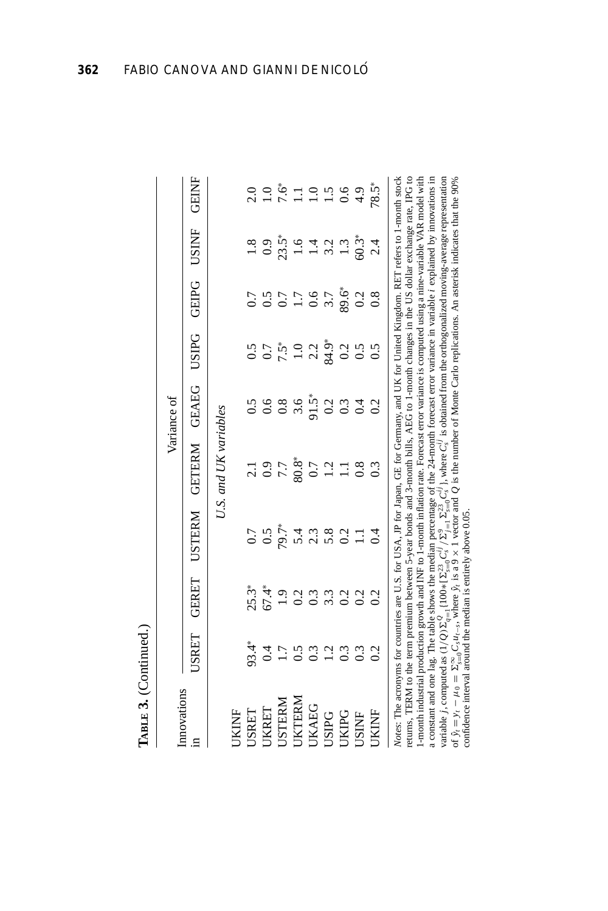| $\textbf{T}_{\textbf{A}}$ BLE 3. (Continued.)                 |                  |                  |                                                                                                                                                                                                                                                                                                                                                                                                                                                                                                                                                                                                                                                                                                                                                                                                                                                                                                                                       |                                     |              |                               |                                           |                                     |                   |
|---------------------------------------------------------------|------------------|------------------|---------------------------------------------------------------------------------------------------------------------------------------------------------------------------------------------------------------------------------------------------------------------------------------------------------------------------------------------------------------------------------------------------------------------------------------------------------------------------------------------------------------------------------------------------------------------------------------------------------------------------------------------------------------------------------------------------------------------------------------------------------------------------------------------------------------------------------------------------------------------------------------------------------------------------------------|-------------------------------------|--------------|-------------------------------|-------------------------------------------|-------------------------------------|-------------------|
| Innovations                                                   |                  |                  |                                                                                                                                                                                                                                                                                                                                                                                                                                                                                                                                                                                                                                                                                                                                                                                                                                                                                                                                       |                                     | Variance of  |                               |                                           |                                     |                   |
|                                                               | <b>JSRET</b>     | <b>GERET</b>     | <b>USTERM</b>                                                                                                                                                                                                                                                                                                                                                                                                                                                                                                                                                                                                                                                                                                                                                                                                                                                                                                                         | <b>GETERM</b>                       | <b>GEAEG</b> | <b>USIPG</b>                  | GEIPG                                     | <b>USINF</b>                        | GEINF             |
|                                                               |                  |                  |                                                                                                                                                                                                                                                                                                                                                                                                                                                                                                                                                                                                                                                                                                                                                                                                                                                                                                                                       | U.S. and UK variables               |              |                               |                                           |                                     |                   |
| JKINF                                                         |                  |                  |                                                                                                                                                                                                                                                                                                                                                                                                                                                                                                                                                                                                                                                                                                                                                                                                                                                                                                                                       |                                     |              |                               |                                           |                                     |                   |
| <b>USRET</b>                                                  | 93.4*            | $25.3*$          |                                                                                                                                                                                                                                                                                                                                                                                                                                                                                                                                                                                                                                                                                                                                                                                                                                                                                                                                       |                                     |              |                               |                                           |                                     |                   |
| JKRET                                                         | 0.4              | 67.4*            | $0.7$<br>$5.0$                                                                                                                                                                                                                                                                                                                                                                                                                                                                                                                                                                                                                                                                                                                                                                                                                                                                                                                        | $\frac{21}{0.9}$                    | 0.6          | $0.5$<br>0.7                  | 5 <sup>o</sup>                            | $\frac{8}{0.9}$                     |                   |
| <b>JSTERM</b>                                                 | $\overline{1.1}$ | 1.9              |                                                                                                                                                                                                                                                                                                                                                                                                                                                                                                                                                                                                                                                                                                                                                                                                                                                                                                                                       |                                     | 0.8          |                               | $\begin{array}{c} 0.7 \\ 1.7 \end{array}$ |                                     |                   |
| JKTERM                                                        | 0.5              | 0.2              |                                                                                                                                                                                                                                                                                                                                                                                                                                                                                                                                                                                                                                                                                                                                                                                                                                                                                                                                       |                                     | 3.6          |                               |                                           |                                     |                   |
| <b>JKAEG</b>                                                  | 0.3              | 0.3              | 7<br>2 5 4 3 8<br>2 6 7 8                                                                                                                                                                                                                                                                                                                                                                                                                                                                                                                                                                                                                                                                                                                                                                                                                                                                                                             | $7.7$<br>80.8*<br>0.7<br>1.1<br>1.1 | $91.5^{*}$   | $7.5^*$<br>1.0<br>2.2<br>84.9 | $0.6$<br>3.7                              | $23.5^*$<br>$1.6$<br>$1.4$<br>$3.2$ |                   |
| <b>USIPG</b>                                                  | 1.2              | $3.\overline{3}$ |                                                                                                                                                                                                                                                                                                                                                                                                                                                                                                                                                                                                                                                                                                                                                                                                                                                                                                                                       |                                     |              |                               |                                           |                                     | $\frac{0}{1}$ 5.6 |
| JKIPG                                                         | 0.3              | 0.2              | 0.2                                                                                                                                                                                                                                                                                                                                                                                                                                                                                                                                                                                                                                                                                                                                                                                                                                                                                                                                   |                                     | 0.3          | 0.2                           | 89.6*                                     | $1.3\,$                             |                   |
| <b>JSINF</b>                                                  | 0.3              | 0.2              | $\Xi$                                                                                                                                                                                                                                                                                                                                                                                                                                                                                                                                                                                                                                                                                                                                                                                                                                                                                                                                 | 0.8                                 | 0.4          | 0.5                           | 0.2                                       | $60.3*$                             | 4.9               |
| JKINF                                                         | 0.2              | 0.2              |                                                                                                                                                                                                                                                                                                                                                                                                                                                                                                                                                                                                                                                                                                                                                                                                                                                                                                                                       | $0.\overline{3}$                    | 0.2          | 0.5                           | 0.8                                       | 2.4                                 | $78.5*$           |
| confidence interval around the median is entirely above 0.05. |                  |                  | Notes: The acronyms for countries are U.S. for USA, JP for Japan, GE for Germany, and UK for United Kingdom. RET refers to 1-month stock<br>returns, TERM to the term premium between 5-year bonds and 3-month bills, AEG to 1-month changes in the US dollar exchange rate, IPG to<br>1-month industrial production growth and INF to 1-month inflation rate. Forecast error variance is computed using a nine-variable VAR model with<br>a constant and one lag. The table shows the median percentage of the 24-month forecast error variance in variable <i>i</i> explained by innovations in variable <i>j</i> , computed as $(1/Q) \Sigma_{q=1}^{\alpha} (100 \times [\Sigma_{q=2}^2) C_q^2) = \Sigma_{q=1}^{\infty$<br>of $\hat{y}_1 = y_1 - \mu_0 = \sum_{k=0}^{\infty} C_k u_{t-k}$ , where $\hat{y}_1$ is a $\hat{y} \times 1$ vector and $Q$ is the number of Monte Carlo replications. An asterisk indicates that the 90% |                                     |              |                               |                                           |                                     |                   |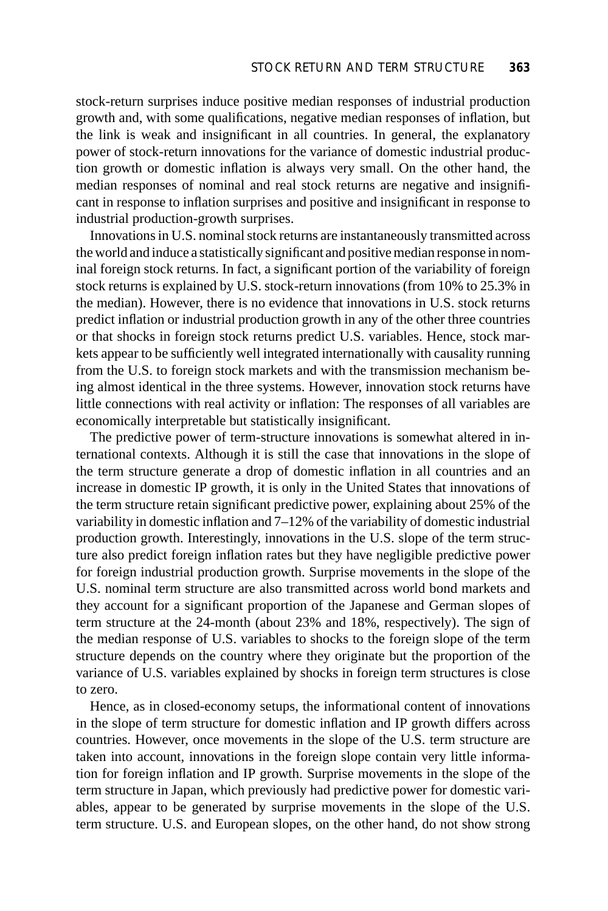stock-return surprises induce positive median responses of industrial production growth and, with some qualifications, negative median responses of inflation, but the link is weak and insignificant in all countries. In general, the explanatory power of stock-return innovations for the variance of domestic industrial production growth or domestic inflation is always very small. On the other hand, the median responses of nominal and real stock returns are negative and insignificant in response to inflation surprises and positive and insignificant in response to industrial production-growth surprises.

Innovations in U.S. nominal stock returns are instantaneously transmitted across the world and induce a statistically significant and positive median response in nominal foreign stock returns. In fact, a significant portion of the variability of foreign stock returns is explained by U.S. stock-return innovations (from 10% to 25.3% in the median). However, there is no evidence that innovations in U.S. stock returns predict inflation or industrial production growth in any of the other three countries or that shocks in foreign stock returns predict U.S. variables. Hence, stock markets appear to be sufficiently well integrated internationally with causality running from the U.S. to foreign stock markets and with the transmission mechanism being almost identical in the three systems. However, innovation stock returns have little connections with real activity or inflation: The responses of all variables are economically interpretable but statistically insignificant.

The predictive power of term-structure innovations is somewhat altered in international contexts. Although it is still the case that innovations in the slope of the term structure generate a drop of domestic inflation in all countries and an increase in domestic IP growth, it is only in the United States that innovations of the term structure retain significant predictive power, explaining about 25% of the variability in domestic inflation and 7–12% of the variability of domestic industrial production growth. Interestingly, innovations in the U.S. slope of the term structure also predict foreign inflation rates but they have negligible predictive power for foreign industrial production growth. Surprise movements in the slope of the U.S. nominal term structure are also transmitted across world bond markets and they account for a significant proportion of the Japanese and German slopes of term structure at the 24-month (about 23% and 18%, respectively). The sign of the median response of U.S. variables to shocks to the foreign slope of the term structure depends on the country where they originate but the proportion of the variance of U.S. variables explained by shocks in foreign term structures is close to zero.

Hence, as in closed-economy setups, the informational content of innovations in the slope of term structure for domestic inflation and IP growth differs across countries. However, once movements in the slope of the U.S. term structure are taken into account, innovations in the foreign slope contain very little information for foreign inflation and IP growth. Surprise movements in the slope of the term structure in Japan, which previously had predictive power for domestic variables, appear to be generated by surprise movements in the slope of the U.S. term structure. U.S. and European slopes, on the other hand, do not show strong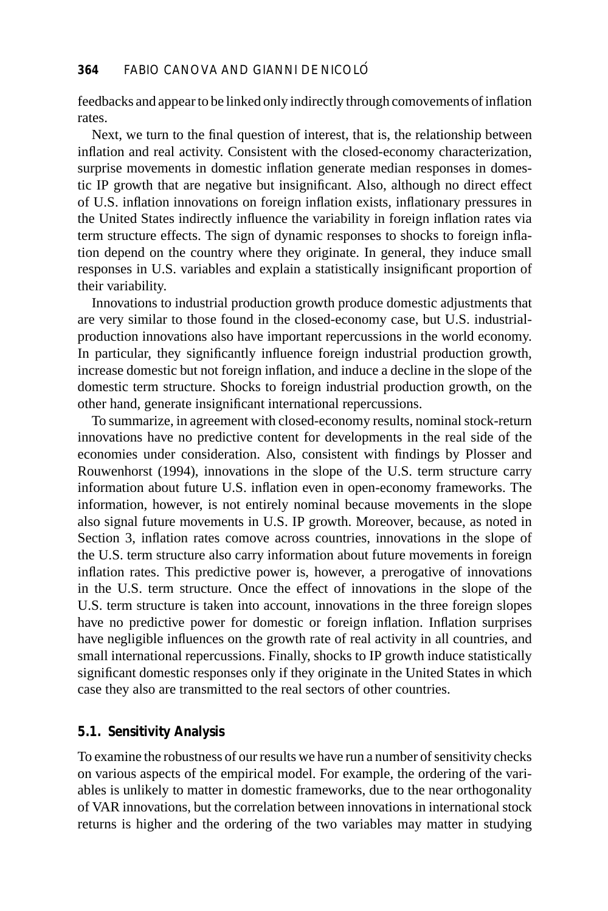feedbacks and appear to be linked only indirectly through comovements of inflation rates.

Next, we turn to the final question of interest, that is, the relationship between inflation and real activity. Consistent with the closed-economy characterization, surprise movements in domestic inflation generate median responses in domestic IP growth that are negative but insignificant. Also, although no direct effect of U.S. inflation innovations on foreign inflation exists, inflationary pressures in the United States indirectly influence the variability in foreign inflation rates via term structure effects. The sign of dynamic responses to shocks to foreign inflation depend on the country where they originate. In general, they induce small responses in U.S. variables and explain a statistically insignificant proportion of their variability.

Innovations to industrial production growth produce domestic adjustments that are very similar to those found in the closed-economy case, but U.S. industrialproduction innovations also have important repercussions in the world economy. In particular, they significantly influence foreign industrial production growth, increase domestic but not foreign inflation, and induce a decline in the slope of the domestic term structure. Shocks to foreign industrial production growth, on the other hand, generate insignificant international repercussions.

To summarize, in agreement with closed-economy results, nominal stock-return innovations have no predictive content for developments in the real side of the economies under consideration. Also, consistent with findings by Plosser and Rouwenhorst (1994), innovations in the slope of the U.S. term structure carry information about future U.S. inflation even in open-economy frameworks. The information, however, is not entirely nominal because movements in the slope also signal future movements in U.S. IP growth. Moreover, because, as noted in Section 3, inflation rates comove across countries, innovations in the slope of the U.S. term structure also carry information about future movements in foreign inflation rates. This predictive power is, however, a prerogative of innovations in the U.S. term structure. Once the effect of innovations in the slope of the U.S. term structure is taken into account, innovations in the three foreign slopes have no predictive power for domestic or foreign inflation. Inflation surprises have negligible influences on the growth rate of real activity in all countries, and small international repercussions. Finally, shocks to IP growth induce statistically significant domestic responses only if they originate in the United States in which case they also are transmitted to the real sectors of other countries.

### **5.1. Sensitivity Analysis**

To examine the robustness of our results we have run a number of sensitivity checks on various aspects of the empirical model. For example, the ordering of the variables is unlikely to matter in domestic frameworks, due to the near orthogonality of VAR innovations, but the correlation between innovations in international stock returns is higher and the ordering of the two variables may matter in studying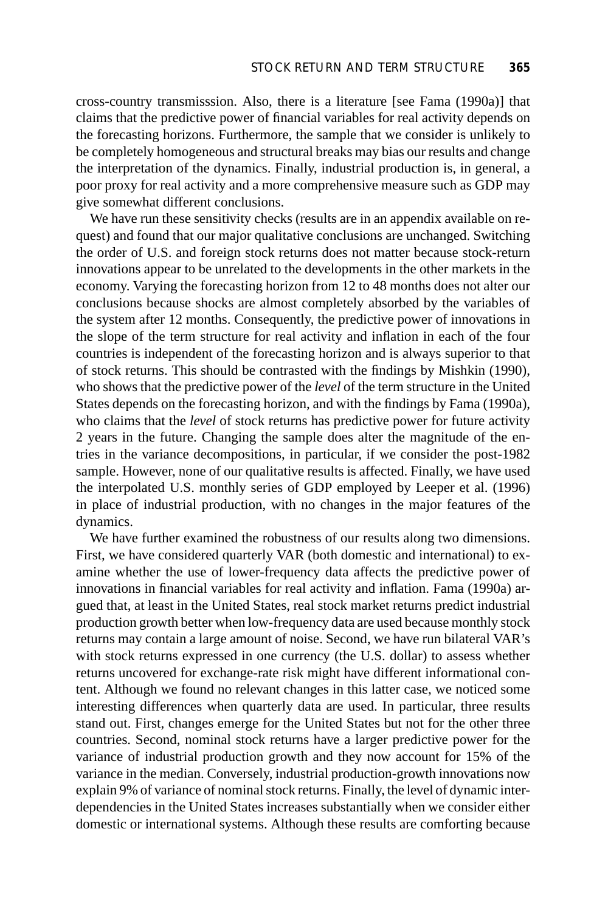cross-country transmisssion. Also, there is a literature [see Fama (1990a)] that claims that the predictive power of financial variables for real activity depends on the forecasting horizons. Furthermore, the sample that we consider is unlikely to be completely homogeneous and structural breaks may bias our results and change the interpretation of the dynamics. Finally, industrial production is, in general, a poor proxy for real activity and a more comprehensive measure such as GDP may give somewhat different conclusions.

We have run these sensitivity checks (results are in an appendix available on request) and found that our major qualitative conclusions are unchanged. Switching the order of U.S. and foreign stock returns does not matter because stock-return innovations appear to be unrelated to the developments in the other markets in the economy. Varying the forecasting horizon from 12 to 48 months does not alter our conclusions because shocks are almost completely absorbed by the variables of the system after 12 months. Consequently, the predictive power of innovations in the slope of the term structure for real activity and inflation in each of the four countries is independent of the forecasting horizon and is always superior to that of stock returns. This should be contrasted with the findings by Mishkin (1990), who shows that the predictive power of the *level* of the term structure in the United States depends on the forecasting horizon, and with the findings by Fama (1990a), who claims that the *level* of stock returns has predictive power for future activity 2 years in the future. Changing the sample does alter the magnitude of the entries in the variance decompositions, in particular, if we consider the post-1982 sample. However, none of our qualitative results is affected. Finally, we have used the interpolated U.S. monthly series of GDP employed by Leeper et al. (1996) in place of industrial production, with no changes in the major features of the dynamics.

We have further examined the robustness of our results along two dimensions. First, we have considered quarterly VAR (both domestic and international) to examine whether the use of lower-frequency data affects the predictive power of innovations in financial variables for real activity and inflation. Fama (1990a) argued that, at least in the United States, real stock market returns predict industrial production growth better when low-frequency data are used because monthly stock returns may contain a large amount of noise. Second, we have run bilateral VAR's with stock returns expressed in one currency (the U.S. dollar) to assess whether returns uncovered for exchange-rate risk might have different informational content. Although we found no relevant changes in this latter case, we noticed some interesting differences when quarterly data are used. In particular, three results stand out. First, changes emerge for the United States but not for the other three countries. Second, nominal stock returns have a larger predictive power for the variance of industrial production growth and they now account for 15% of the variance in the median. Conversely, industrial production-growth innovations now explain 9% of variance of nominal stock returns. Finally, the level of dynamic interdependencies in the United States increases substantially when we consider either domestic or international systems. Although these results are comforting because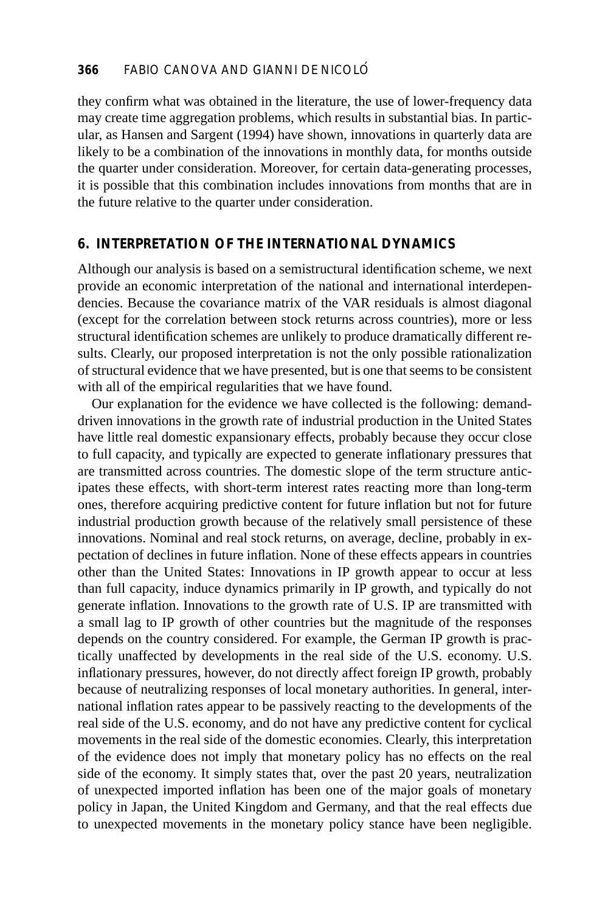they confirm what was obtained in the literature, the use of lower-frequency data may create time aggregation problems, which results in substantial bias. In particular, as Hansen and Sargent (1994) have shown, innovations in quarterly data are likely to be a combination of the innovations in monthly data, for months outside the quarter under consideration. Moreover, for certain data-generating processes, it is possible that this combination includes innovations from months that are in the future relative to the quarter under consideration.

#### **6. INTERPRETATION OF THE INTERNATIONAL DYNAMICS**

Although our analysis is based on a semistructural identification scheme, we next provide an economic interpretation of the national and international interdependencies. Because the covariance matrix of the VAR residuals is almost diagonal (except for the correlation between stock returns across countries), more or less structural identification schemes are unlikely to produce dramatically different results. Clearly, our proposed interpretation is not the only possible rationalization of structural evidence that we have presented, but is one that seems to be consistent with all of the empirical regularities that we have found.

Our explanation for the evidence we have collected is the following: demanddriven innovations in the growth rate of industrial production in the United States have little real domestic expansionary effects, probably because they occur close to full capacity, and typically are expected to generate inflationary pressures that are transmitted across countries. The domestic slope of the term structure anticipates these effects, with short-term interest rates reacting more than long-term ones, therefore acquiring predictive content for future inflation but not for future industrial production growth because of the relatively small persistence of these innovations. Nominal and real stock returns, on average, decline, probably in expectation of declines in future inflation. None of these effects appears in countries other than the United States: Innovations in IP growth appear to occur at less than full capacity, induce dynamics primarily in IP growth, and typically do not generate inflation. Innovations to the growth rate of U.S. IP are transmitted with a small lag to IP growth of other countries but the magnitude of the responses depends on the country considered. For example, the German IP growth is practically unaffected by developments in the real side of the U.S. economy. U.S. inflationary pressures, however, do not directly affect foreign IP growth, probably because of neutralizing responses of local monetary authorities. In general, international inflation rates appear to be passively reacting to the developments of the real side of the U.S. economy, and do not have any predictive content for cyclical movements in the real side of the domestic economies. Clearly, this interpretation of the evidence does not imply that monetary policy has no effects on the real side of the economy. It simply states that, over the past 20 years, neutralization of unexpected imported inflation has been one of the major goals of monetary policy in Japan, the United Kingdom and Germany, and that the real effects due to unexpected movements in the monetary policy stance have been negligible.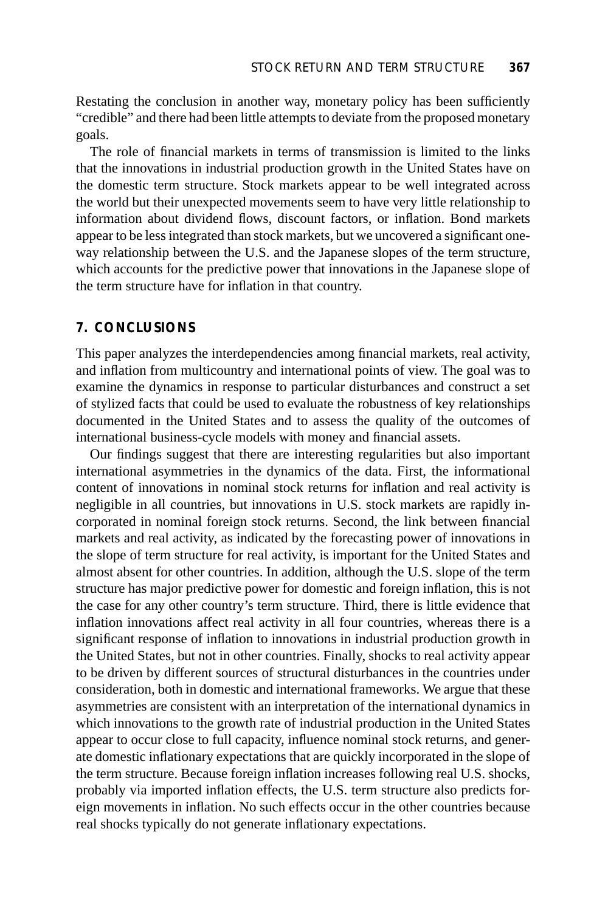Restating the conclusion in another way, monetary policy has been sufficiently "credible" and there had been little attempts to deviate from the proposed monetary goals.

The role of financial markets in terms of transmission is limited to the links that the innovations in industrial production growth in the United States have on the domestic term structure. Stock markets appear to be well integrated across the world but their unexpected movements seem to have very little relationship to information about dividend flows, discount factors, or inflation. Bond markets appear to be less integrated than stock markets, but we uncovered a significant oneway relationship between the U.S. and the Japanese slopes of the term structure, which accounts for the predictive power that innovations in the Japanese slope of the term structure have for inflation in that country.

#### **7. CONCLUSIONS**

This paper analyzes the interdependencies among financial markets, real activity, and inflation from multicountry and international points of view. The goal was to examine the dynamics in response to particular disturbances and construct a set of stylized facts that could be used to evaluate the robustness of key relationships documented in the United States and to assess the quality of the outcomes of international business-cycle models with money and financial assets.

Our findings suggest that there are interesting regularities but also important international asymmetries in the dynamics of the data. First, the informational content of innovations in nominal stock returns for inflation and real activity is negligible in all countries, but innovations in U.S. stock markets are rapidly incorporated in nominal foreign stock returns. Second, the link between financial markets and real activity, as indicated by the forecasting power of innovations in the slope of term structure for real activity, is important for the United States and almost absent for other countries. In addition, although the U.S. slope of the term structure has major predictive power for domestic and foreign inflation, this is not the case for any other country's term structure. Third, there is little evidence that inflation innovations affect real activity in all four countries, whereas there is a significant response of inflation to innovations in industrial production growth in the United States, but not in other countries. Finally, shocks to real activity appear to be driven by different sources of structural disturbances in the countries under consideration, both in domestic and international frameworks. We argue that these asymmetries are consistent with an interpretation of the international dynamics in which innovations to the growth rate of industrial production in the United States appear to occur close to full capacity, influence nominal stock returns, and generate domestic inflationary expectations that are quickly incorporated in the slope of the term structure. Because foreign inflation increases following real U.S. shocks, probably via imported inflation effects, the U.S. term structure also predicts foreign movements in inflation. No such effects occur in the other countries because real shocks typically do not generate inflationary expectations.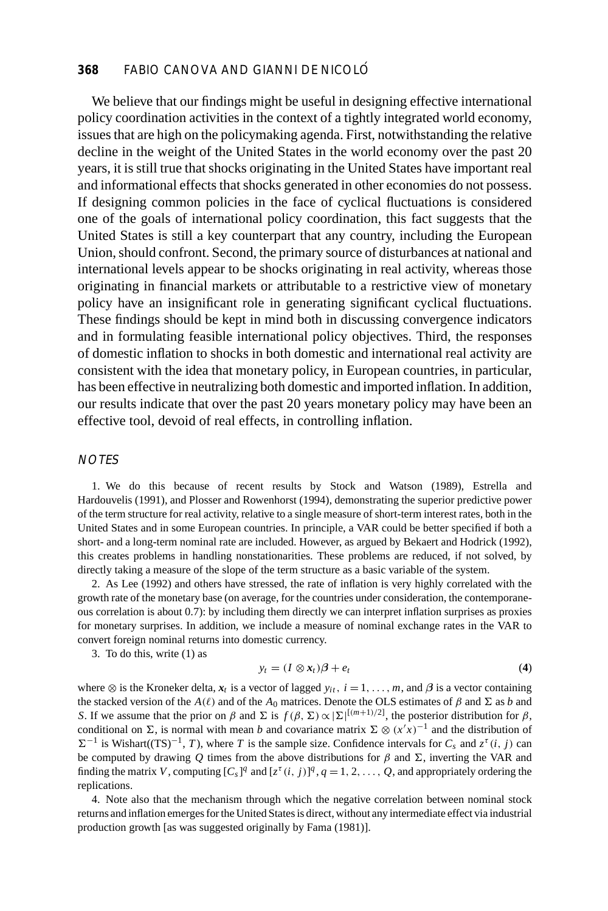We believe that our findings might be useful in designing effective international policy coordination activities in the context of a tightly integrated world economy, issues that are high on the policymaking agenda. First, notwithstanding the relative decline in the weight of the United States in the world economy over the past 20 years, it is still true that shocks originating in the United States have important real and informational effects that shocks generated in other economies do not possess. If designing common policies in the face of cyclical fluctuations is considered one of the goals of international policy coordination, this fact suggests that the United States is still a key counterpart that any country, including the European Union, should confront. Second, the primary source of disturbances at national and international levels appear to be shocks originating in real activity, whereas those originating in financial markets or attributable to a restrictive view of monetary policy have an insignificant role in generating significant cyclical fluctuations. These findings should be kept in mind both in discussing convergence indicators and in formulating feasible international policy objectives. Third, the responses of domestic inflation to shocks in both domestic and international real activity are consistent with the idea that monetary policy, in European countries, in particular, has been effective in neutralizing both domestic and imported inflation. In addition, our results indicate that over the past 20 years monetary policy may have been an effective tool, devoid of real effects, in controlling inflation.

#### **NOTES**

1. We do this because of recent results by Stock and Watson (1989), Estrella and Hardouvelis (1991), and Plosser and Rowenhorst (1994), demonstrating the superior predictive power of the term structure for real activity, relative to a single measure of short-term interest rates, both in the United States and in some European countries. In principle, a VAR could be better specified if both a short- and a long-term nominal rate are included. However, as argued by Bekaert and Hodrick (1992), this creates problems in handling nonstationarities. These problems are reduced, if not solved, by directly taking a measure of the slope of the term structure as a basic variable of the system.

2. As Lee (1992) and others have stressed, the rate of inflation is very highly correlated with the growth rate of the monetary base (on average, for the countries under consideration, the contemporaneous correlation is about 0.7): by including them directly we can interpret inflation surprises as proxies for monetary surprises. In addition, we include a measure of nominal exchange rates in the VAR to convert foreign nominal returns into domestic currency.

3. To do this, write (1) as

$$
y_t = (I \otimes x_t)\beta + e_t \tag{4}
$$

where  $\otimes$  is the Kroneker delta,  $x_t$  is a vector of lagged  $y_{it}$ ,  $i = 1, \ldots, m$ , and  $\beta$  is a vector containing the stacked version of the *A*( $\ell$ ) and of the *A*<sub>0</sub> matrices. Denote the OLS estimates of  $\beta$  and  $\Sigma$  as *b* and *S*. If we assume that the prior on  $\beta$  and  $\Sigma$  is  $f(\beta, \Sigma) \propto |\Sigma|^{[(m+1)/2]}$ , the posterior distribution for  $\beta$ , conditional on  $\Sigma$ , is normal with mean *b* and covariance matrix  $\Sigma \otimes (x^7 x)^{-1}$  and the distribution of  $\Sigma^{-1}$  is Wishart((TS)<sup>-1</sup>, *T*), where *T* is the sample size. Confidence intervals for  $C_s$  and  $z^{\tau}(i, j)$  can be computed by drawing  $Q$  times from the above distributions for  $\beta$  and  $\Sigma$ , inverting the VAR and finding the matrix *V*, computing  $[C_s]^q$  and  $[z^{\tau}(i, j)]^q$ ,  $q = 1, 2, ..., Q$ , and appropriately ordering the replications.

4. Note also that the mechanism through which the negative correlation between nominal stock returns and inflation emerges for the United States is direct, without any intermediate effect via industrial production growth [as was suggested originally by Fama (1981)].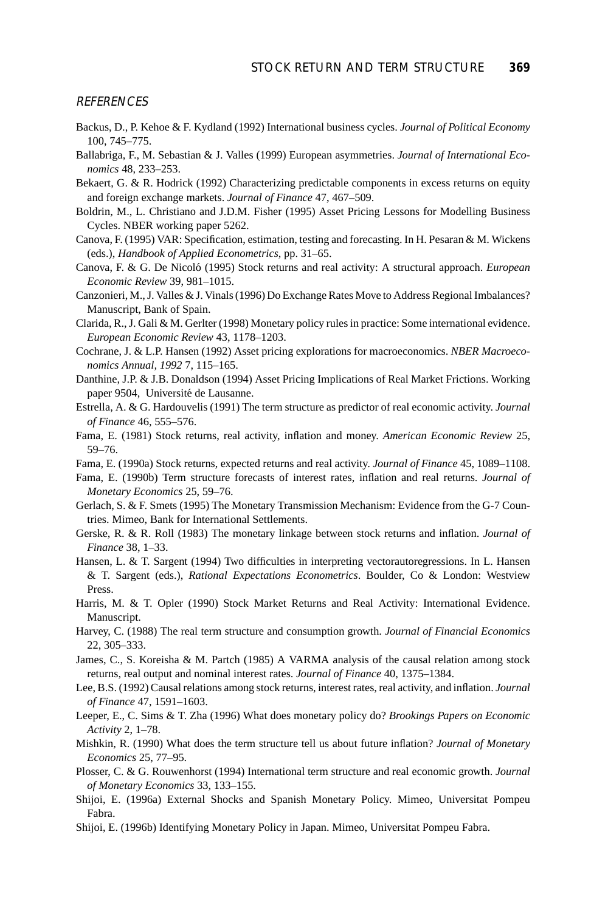#### **REFERENCES**

- Backus, D., P. Kehoe & F. Kydland (1992) International business cycles. *Journal of Political Economy* 100, 745–775.
- Ballabriga, F., M. Sebastian & J. Valles (1999) European asymmetries. *Journal of International Economics* 48, 233–253.
- Bekaert, G. & R. Hodrick (1992) Characterizing predictable components in excess returns on equity and foreign exchange markets. *Journal of Finance* 47, 467–509.
- Boldrin, M., L. Christiano and J.D.M. Fisher (1995) Asset Pricing Lessons for Modelling Business Cycles. NBER working paper 5262.
- Canova, F. (1995) VAR: Specification, estimation, testing and forecasting. In H. Pesaran & M. Wickens (eds.), *Handbook of Applied Econometrics*, pp. 31–65.
- Canova, F. & G. De Nicoló (1995) Stock returns and real activity: A structural approach. *European Economic Review* 39, 981–1015.
- Canzonieri, M., J. Valles & J. Vinals (1996) Do Exchange Rates Move to Address Regional Imbalances? Manuscript, Bank of Spain.
- Clarida, R., J. Gali & M. Gerlter (1998) Monetary policy rules in practice: Some international evidence. *European Economic Review* 43, 1178–1203.
- Cochrane, J. & L.P. Hansen (1992) Asset pricing explorations for macroeconomics. *NBER Macroeconomics Annual, 1992* 7, 115–165.
- Danthine, J.P. & J.B. Donaldson (1994) Asset Pricing Implications of Real Market Frictions. Working paper 9504, Université de Lausanne.
- Estrella, A. & G. Hardouvelis (1991) The term structure as predictor of real economic activity. *Journal of Finance* 46, 555–576.
- Fama, E. (1981) Stock returns, real activity, inflation and money. *American Economic Review* 25, 59–76.
- Fama, E. (1990a) Stock returns, expected returns and real activity. *Journal of Finance* 45, 1089–1108.
- Fama, E. (1990b) Term structure forecasts of interest rates, inflation and real returns. *Journal of Monetary Economics* 25, 59–76.
- Gerlach, S. & F. Smets (1995) The Monetary Transmission Mechanism: Evidence from the G-7 Countries. Mimeo, Bank for International Settlements.
- Gerske, R. & R. Roll (1983) The monetary linkage between stock returns and inflation. *Journal of Finance* 38, 1–33.
- Hansen, L. & T. Sargent (1994) Two difficulties in interpreting vectorautoregressions. In L. Hansen & T. Sargent (eds.), *Rational Expectations Econometrics*. Boulder, Co & London: Westview Press.
- Harris, M. & T. Opler (1990) Stock Market Returns and Real Activity: International Evidence. Manuscript.
- Harvey, C. (1988) The real term structure and consumption growth. *Journal of Financial Economics* 22, 305–333.
- James, C., S. Koreisha & M. Partch (1985) A VARMA analysis of the causal relation among stock returns, real output and nominal interest rates. *Journal of Finance* 40, 1375–1384.
- Lee, B.S. (1992) Causal relations among stock returns, interest rates, real activity, and inflation. *Journal of Finance* 47, 1591–1603.
- Leeper, E., C. Sims & T. Zha (1996) What does monetary policy do? *Brookings Papers on Economic Activity* 2, 1–78.
- Mishkin, R. (1990) What does the term structure tell us about future inflation? *Journal of Monetary Economics* 25, 77–95.
- Plosser, C. & G. Rouwenhorst (1994) International term structure and real economic growth. *Journal of Monetary Economics* 33, 133–155.
- Shijoi, E. (1996a) External Shocks and Spanish Monetary Policy. Mimeo, Universitat Pompeu Fabra.
- Shijoi, E. (1996b) Identifying Monetary Policy in Japan. Mimeo, Universitat Pompeu Fabra.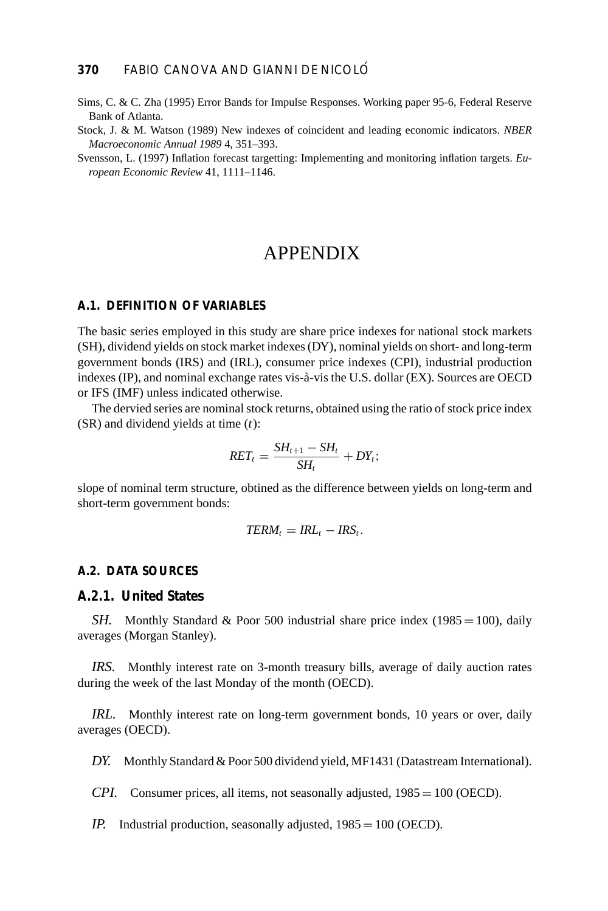Sims, C. & C. Zha (1995) Error Bands for Impulse Responses. Working paper 95-6, Federal Reserve Bank of Atlanta.

Stock, J. & M. Watson (1989) New indexes of coincident and leading economic indicators. *NBER Macroeconomic Annual 1989* 4, 351–393.

Svensson, L. (1997) Inflation forecast targetting: Implementing and monitoring inflation targets. *European Economic Review* 41, 1111–1146.

# APPENDIX

#### **A.1. DEFINITION OF VARIABLES**

The basic series employed in this study are share price indexes for national stock markets (SH), dividend yields on stock market indexes (DY), nominal yields on short- and long-term government bonds (IRS) and (IRL), consumer price indexes (CPI), industrial production indexes (IP), and nominal exchange rates vis- $\lambda$ -vis the U.S. dollar (EX). Sources are OECD or IFS (IMF) unless indicated otherwise.

The dervied series are nominal stock returns, obtained using the ratio of stock price index (SR) and dividend yields at time (*t*):

$$
RET_t = \frac{SH_{t+1} - SH_t}{SH_t} + DY_t;
$$

slope of nominal term structure, obtined as the difference between yields on long-term and short-term government bonds:

$$
TERM_t = IRL_t - IRS_t.
$$

#### **A.2. DATA SOURCES**

#### **A.2.1. United States**

*SH.* Monthly Standard & Poor 500 industrial share price index (1985 = 100), daily averages (Morgan Stanley).

*IRS.* Monthly interest rate on 3-month treasury bills, average of daily auction rates during the week of the last Monday of the month (OECD).

*IRL.* Monthly interest rate on long-term government bonds, 10 years or over, daily averages (OECD).

*DY.* Monthly Standard & Poor 500 dividend yield, MF1431 (Datastream International).

*CPI.* Consumer prices, all items, not seasonally adjusted,  $1985 = 100$  (OECD).

*IP.* Industrial production, seasonally adjusted,  $1985 = 100$  (OECD).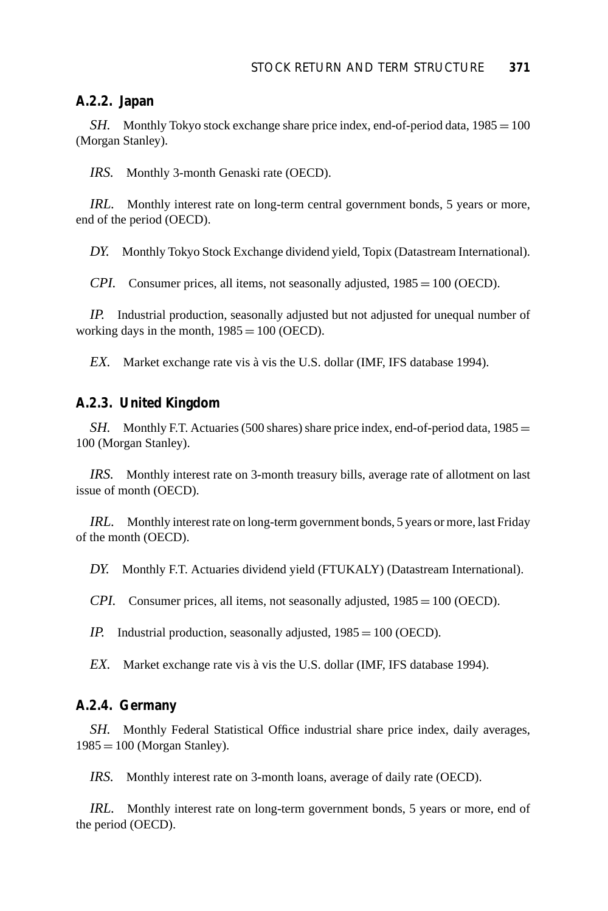#### **A.2.2. Japan**

*SH.* Monthly Tokyo stock exchange share price index, end-of-period data,  $1985 = 100$ (Morgan Stanley).

*IRS.* Monthly 3-month Genaski rate (OECD).

*IRL.* Monthly interest rate on long-term central government bonds, 5 years or more, end of the period (OECD).

*DY.* Monthly Tokyo Stock Exchange dividend yield, Topix (Datastream International).

*CPI.* Consumer prices, all items, not seasonally adjusted,  $1985 = 100$  (OECD).

*IP.* Industrial production, seasonally adjusted but not adjusted for unequal number of working days in the month,  $1985 = 100$  (OECD).

*EX.* Market exchange rate vis à vis the U.S. dollar (IMF, IFS database 1994).

#### **A.2.3. United Kingdom**

*SH.* Monthly F.T. Actuaries (500 shares) share price index, end-of-period data, 1985 = 100 (Morgan Stanley).

*IRS.* Monthly interest rate on 3-month treasury bills, average rate of allotment on last issue of month (OECD).

*IRL.* Monthly interest rate on long-term government bonds, 5 years or more, last Friday of the month (OECD).

*DY.* Monthly F.T. Actuaries dividend yield (FTUKALY) (Datastream International).

*CPI.* Consumer prices, all items, not seasonally adjusted,  $1985 = 100$  (OECD).

*IP.* Industrial production, seasonally adjusted,  $1985 = 100$  (OECD).

*EX.* Market exchange rate vis à vis the U.S. dollar (IMF, IFS database 1994).

#### **A.2.4. Germany**

*SH.* Monthly Federal Statistical Office industrial share price index, daily averages,  $1985 = 100$  (Morgan Stanley).

*IRS.* Monthly interest rate on 3-month loans, average of daily rate (OECD).

*IRL.* Monthly interest rate on long-term government bonds, 5 years or more, end of the period (OECD).